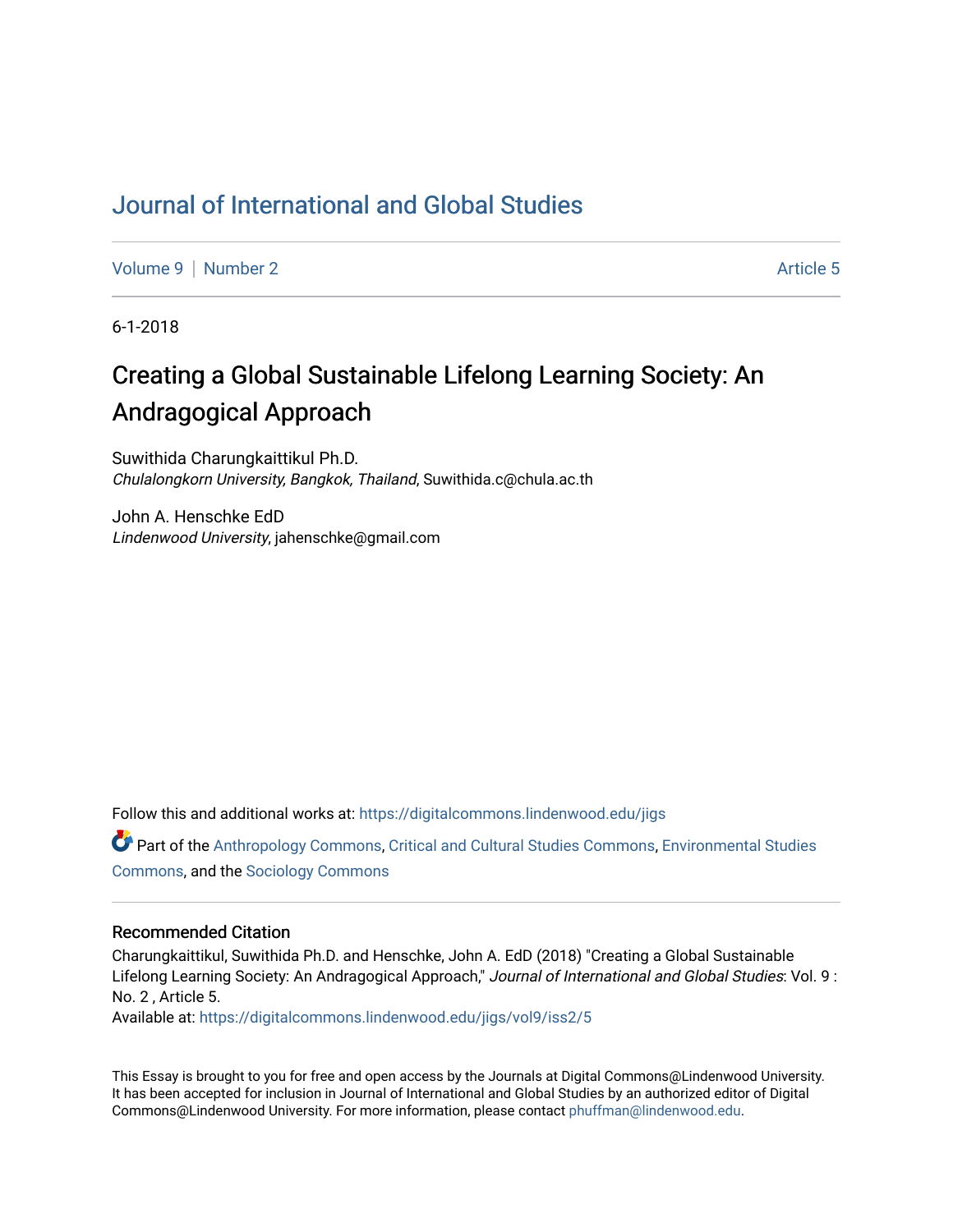# [Journal of International and Global Studies](https://digitalcommons.lindenwood.edu/jigs)

[Volume 9](https://digitalcommons.lindenwood.edu/jigs/vol9) | [Number 2](https://digitalcommons.lindenwood.edu/jigs/vol9/iss2) Article 5

6-1-2018

# Creating a Global Sustainable Lifelong Learning Society: An Andragogical Approach

Suwithida Charungkaittikul Ph.D. Chulalongkorn University, Bangkok, Thailand, Suwithida.c@chula.ac.th

John A. Henschke EdD Lindenwood University, jahenschke@gmail.com

Follow this and additional works at: [https://digitalcommons.lindenwood.edu/jigs](https://digitalcommons.lindenwood.edu/jigs?utm_source=digitalcommons.lindenwood.edu%2Fjigs%2Fvol9%2Fiss2%2F5&utm_medium=PDF&utm_campaign=PDFCoverPages) 

Part of the [Anthropology Commons](http://network.bepress.com/hgg/discipline/318?utm_source=digitalcommons.lindenwood.edu%2Fjigs%2Fvol9%2Fiss2%2F5&utm_medium=PDF&utm_campaign=PDFCoverPages), [Critical and Cultural Studies Commons](http://network.bepress.com/hgg/discipline/328?utm_source=digitalcommons.lindenwood.edu%2Fjigs%2Fvol9%2Fiss2%2F5&utm_medium=PDF&utm_campaign=PDFCoverPages), [Environmental Studies](http://network.bepress.com/hgg/discipline/1333?utm_source=digitalcommons.lindenwood.edu%2Fjigs%2Fvol9%2Fiss2%2F5&utm_medium=PDF&utm_campaign=PDFCoverPages)  [Commons](http://network.bepress.com/hgg/discipline/1333?utm_source=digitalcommons.lindenwood.edu%2Fjigs%2Fvol9%2Fiss2%2F5&utm_medium=PDF&utm_campaign=PDFCoverPages), and the [Sociology Commons](http://network.bepress.com/hgg/discipline/416?utm_source=digitalcommons.lindenwood.edu%2Fjigs%2Fvol9%2Fiss2%2F5&utm_medium=PDF&utm_campaign=PDFCoverPages)

# Recommended Citation

Charungkaittikul, Suwithida Ph.D. and Henschke, John A. EdD (2018) "Creating a Global Sustainable Lifelong Learning Society: An Andragogical Approach," Journal of International and Global Studies: Vol. 9: No. 2 , Article 5.

Available at: [https://digitalcommons.lindenwood.edu/jigs/vol9/iss2/5](https://digitalcommons.lindenwood.edu/jigs/vol9/iss2/5?utm_source=digitalcommons.lindenwood.edu%2Fjigs%2Fvol9%2Fiss2%2F5&utm_medium=PDF&utm_campaign=PDFCoverPages)

This Essay is brought to you for free and open access by the Journals at Digital Commons@Lindenwood University. It has been accepted for inclusion in Journal of International and Global Studies by an authorized editor of Digital Commons@Lindenwood University. For more information, please contact [phuffman@lindenwood.edu](mailto:phuffman@lindenwood.edu).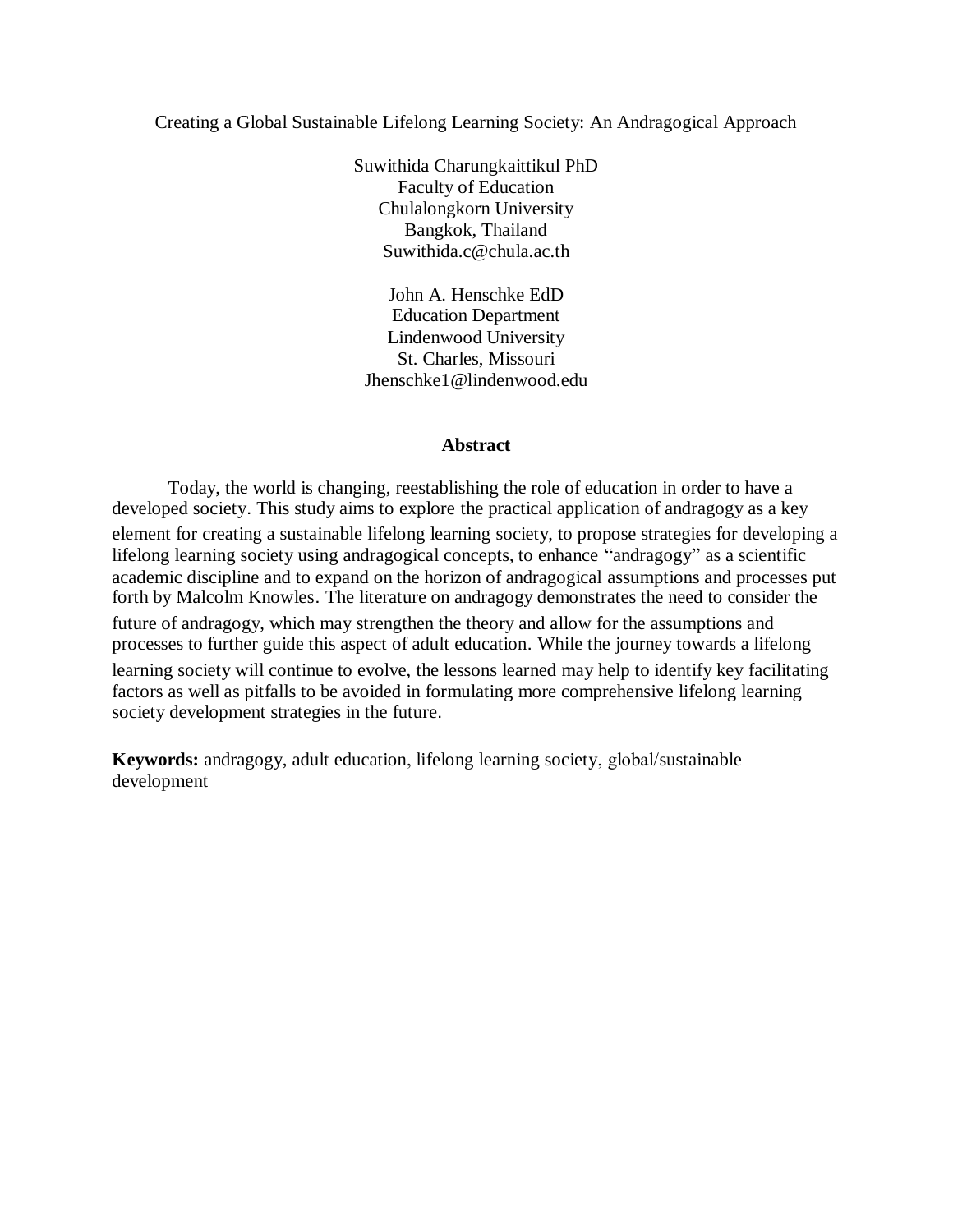# Creating a Global Sustainable Lifelong Learning Society: An Andragogical Approach

Suwithida Charungkaittikul PhD Faculty of Education Chulalongkorn University Bangkok, Thailand Suwithida.c@chula.ac.th

John A. Henschke EdD Education Department Lindenwood University St. Charles, Missouri Jhenschke1@lindenwood.edu

# **Abstract**

Today, the world is changing, reestablishing the role of education in order to have a developed society. This study aims to explore the practical application of andragogy as a key element for creating a sustainable lifelong learning society, to propose strategies for developing a lifelong learning society using andragogical concepts, to enhance "andragogy" as a scientific academic discipline and to expand on the horizon of andragogical assumptions and processes put forth by Malcolm Knowles. The literature on andragogy demonstrates the need to consider the

future of andragogy, which may strengthen the theory and allow for the assumptions and processes to further guide this aspect of adult education. While the journey towards a lifelong

learning society will continue to evolve, the lessons learned may help to identify key facilitating factors as well as pitfalls to be avoided in formulating more comprehensive lifelong learning society development strategies in the future.

**Keywords:** andragogy, adult education, lifelong learning society, global/sustainable development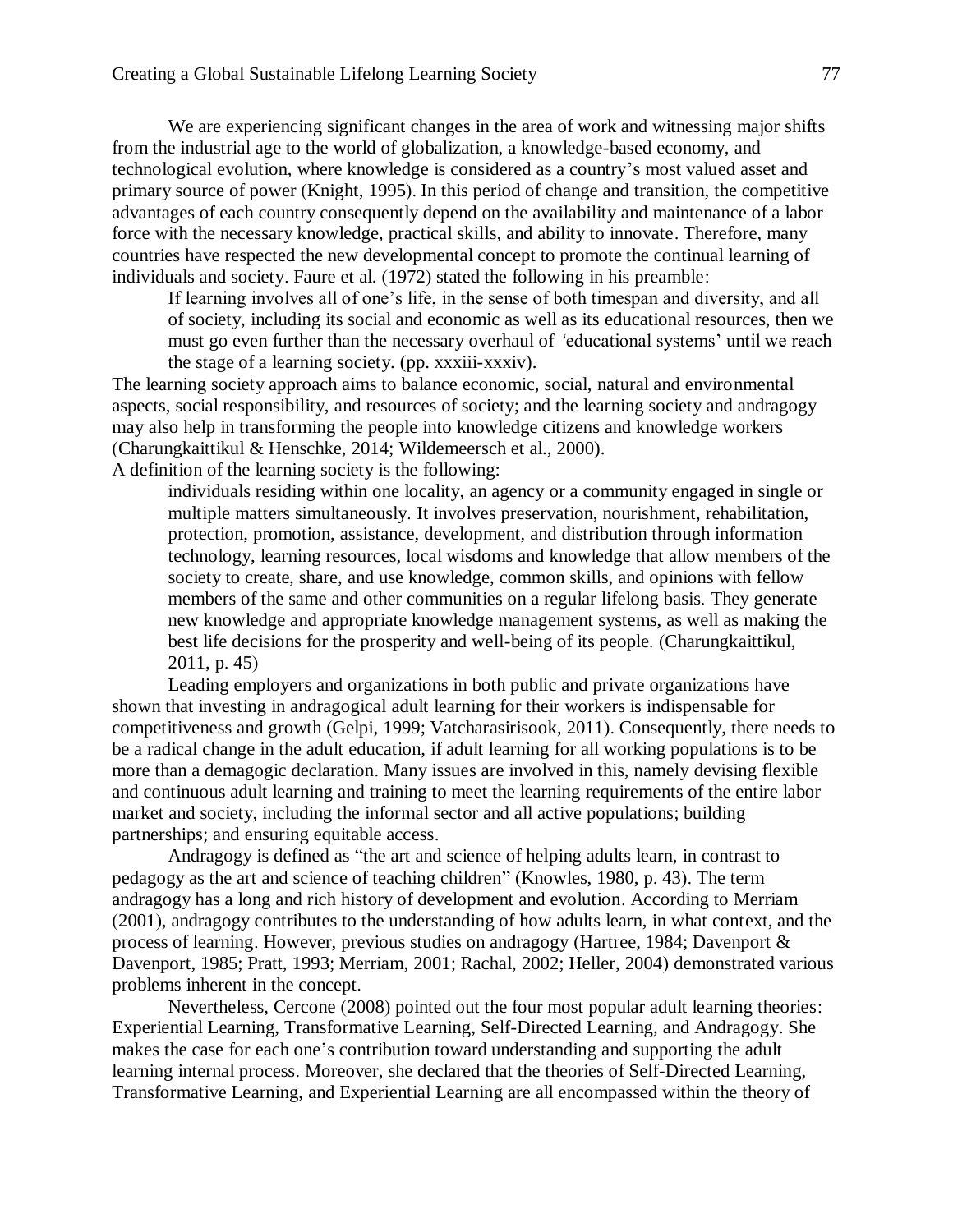We are experiencing significant changes in the area of work and witnessing major shifts from the industrial age to the world of globalization, a knowledge-based economy, and technological evolution, where knowledge is considered as a country's most valued asset and primary source of power (Knight, 1995). In this period of change and transition, the competitive advantages of each country consequently depend on the availability and maintenance of a labor force with the necessary knowledge, practical skills, and ability to innovate. Therefore, many countries have respected the new developmental concept to promote the continual learning of individuals and society. Faure et al. (1972) stated the following in his preamble:

If learning involves all of one's life, in the sense of both timespan and diversity, and all of society, including its social and economic as well as its educational resources, then we must go even further than the necessary overhaul of *'*educational systems' until we reach the stage of a learning society. (pp. xxxiii-xxxiv).

The learning society approach aims to balance economic, social, natural and environmental aspects, social responsibility, and resources of society; and the learning society and andragogy may also help in transforming the people into knowledge citizens and knowledge workers (Charungkaittikul & Henschke, 2014; Wildemeersch et al., 2000).

A definition of the learning society is the following:

individuals residing within one locality, an agency or a community engaged in single or multiple matters simultaneously*.* It involves preservation, nourishment, rehabilitation, protection, promotion, assistance, development, and distribution through information technology, learning resources, local wisdoms and knowledge that allow members of the society to create, share, and use knowledge, common skills, and opinions with fellow members of the same and other communities on a regular lifelong basis*.* They generate new knowledge and appropriate knowledge management systems, as well as making the best life decisions for the prosperity and well*-*being of its people*.* (Charungkaittikul, 2011, p. 45)

Leading employers and organizations in both public and private organizations have shown that investing in andragogical adult learning for their workers is indispensable for competitiveness and growth (Gelpi, 1999; Vatcharasirisook, 2011). Consequently, there needs to be a radical change in the adult education, if adult learning for all working populations is to be more than a demagogic declaration. Many issues are involved in this, namely devising flexible and continuous adult learning and training to meet the learning requirements of the entire labor market and society, including the informal sector and all active populations; building partnerships; and ensuring equitable access.

Andragogy is defined as "the art and science of helping adults learn, in contrast to pedagogy as the art and science of teaching children" (Knowles, 1980, p. 43). The term andragogy has a long and rich history of development and evolution. According to Merriam (2001), andragogy contributes to the understanding of how adults learn, in what context, and the process of learning. However, previous studies on andragogy (Hartree, 1984; Davenport & Davenport, 1985; Pratt, 1993; Merriam, 2001; Rachal, 2002; Heller, 2004) demonstrated various problems inherent in the concept.

Nevertheless, Cercone (2008) pointed out the four most popular adult learning theories: Experiential Learning, Transformative Learning, Self-Directed Learning, and Andragogy. She makes the case for each one's contribution toward understanding and supporting the adult learning internal process. Moreover, she declared that the theories of Self-Directed Learning, Transformative Learning, and Experiential Learning are all encompassed within the theory of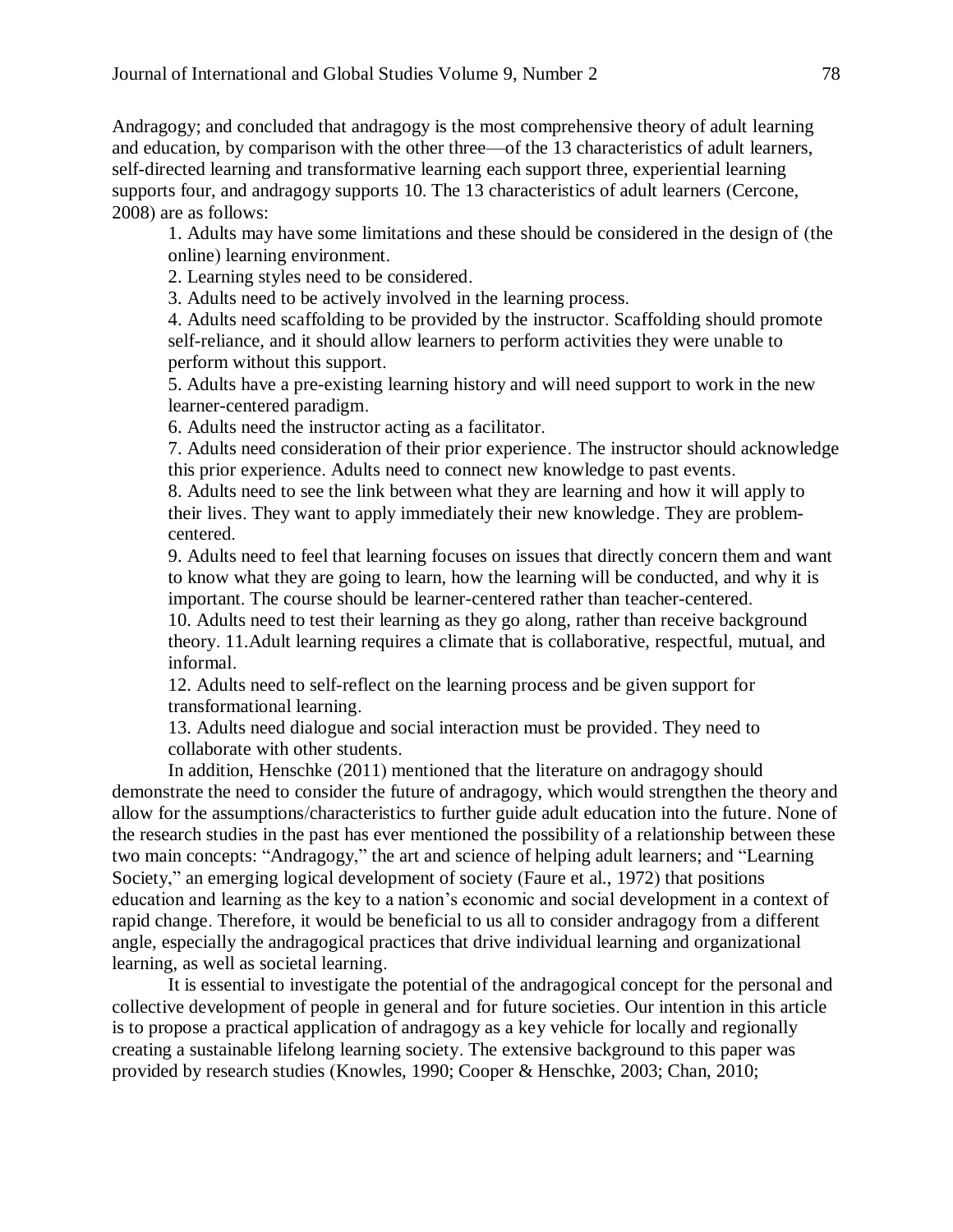Andragogy; and concluded that andragogy is the most comprehensive theory of adult learning and education, by comparison with the other three—of the 13 characteristics of adult learners, self-directed learning and transformative learning each support three, experiential learning supports four, and andragogy supports 10. The 13 characteristics of adult learners (Cercone, 2008) are as follows:

1. Adults may have some limitations and these should be considered in the design of (the online) learning environment.

2. Learning styles need to be considered.

3. Adults need to be actively involved in the learning process.

4. Adults need scaffolding to be provided by the instructor. Scaffolding should promote self-reliance, and it should allow learners to perform activities they were unable to perform without this support.

5. Adults have a pre-existing learning history and will need support to work in the new learner-centered paradigm.

6. Adults need the instructor acting as a facilitator.

7. Adults need consideration of their prior experience. The instructor should acknowledge this prior experience. Adults need to connect new knowledge to past events.

8. Adults need to see the link between what they are learning and how it will apply to their lives. They want to apply immediately their new knowledge. They are problemcentered.

9. Adults need to feel that learning focuses on issues that directly concern them and want to know what they are going to learn, how the learning will be conducted, and why it is important. The course should be learner-centered rather than teacher-centered.

10. Adults need to test their learning as they go along, rather than receive background theory. 11.Adult learning requires a climate that is collaborative, respectful, mutual, and informal.

12. Adults need to self-reflect on the learning process and be given support for transformational learning.

13. Adults need dialogue and social interaction must be provided. They need to collaborate with other students.

In addition, Henschke (2011) mentioned that the literature on andragogy should demonstrate the need to consider the future of andragogy, which would strengthen the theory and allow for the assumptions/characteristics to further guide adult education into the future. None of the research studies in the past has ever mentioned the possibility of a relationship between these two main concepts: "Andragogy," the art and science of helping adult learners; and "Learning Society," an emerging logical development of society (Faure et al., 1972) that positions education and learning as the key to a nation's economic and social development in a context of rapid change. Therefore, it would be beneficial to us all to consider andragogy from a different angle, especially the andragogical practices that drive individual learning and organizational learning, as well as societal learning.

It is essential to investigate the potential of the andragogical concept for the personal and collective development of people in general and for future societies. Our intention in this article is to propose a practical application of andragogy as a key vehicle for locally and regionally creating a sustainable lifelong learning society. The extensive background to this paper was provided by research studies (Knowles, 1990; Cooper & Henschke, 2003; Chan, 2010;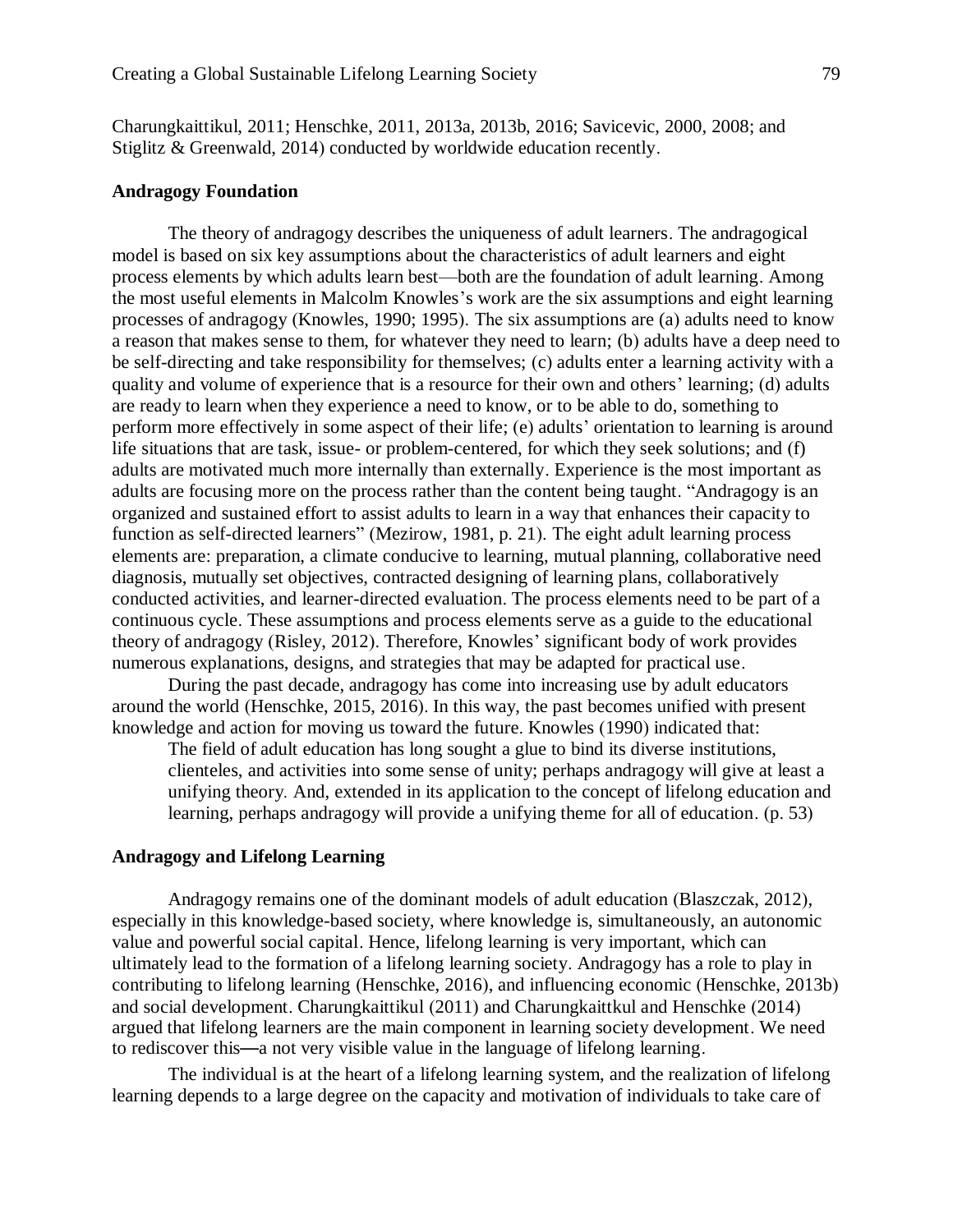Charungkaittikul, 2011; Henschke, 2011, 2013a, 2013b, 2016; Savicevic, 2000, 2008; and Stiglitz & Greenwald, 2014) conducted by worldwide education recently.

# **Andragogy Foundation**

The theory of andragogy describes the uniqueness of adult learners. The andragogical model is based on six key assumptions about the characteristics of adult learners and eight process elements by which adults learn best—both are the foundation of adult learning. Among the most useful elements in Malcolm Knowles's work are the six assumptions and eight learning processes of andragogy (Knowles, 1990; 1995). The six assumptions are (a) adults need to know a reason that makes sense to them, for whatever they need to learn; (b) adults have a deep need to be self-directing and take responsibility for themselves; (c) adults enter a learning activity with a quality and volume of experience that is a resource for their own and others' learning; (d) adults are ready to learn when they experience a need to know, or to be able to do, something to perform more effectively in some aspect of their life; (e) adults' orientation to learning is around life situations that are task, issue- or problem-centered, for which they seek solutions; and (f) adults are motivated much more internally than externally. Experience is the most important as adults are focusing more on the process rather than the content being taught. "Andragogy is an organized and sustained effort to assist adults to learn in a way that enhances their capacity to function as self*-*directed learners" (Mezirow, 1981, p. 21). The eight adult learning process elements are: preparation, a climate conducive to learning, mutual planning, collaborative need diagnosis, mutually set objectives, contracted designing of learning plans, collaboratively conducted activities, and learner-directed evaluation. The process elements need to be part of a continuous cycle. These assumptions and process elements serve as a guide to the educational theory of andragogy (Risley, 2012). Therefore, Knowles' significant body of work provides numerous explanations, designs, and strategies that may be adapted for practical use.

During the past decade, andragogy has come into increasing use by adult educators around the world (Henschke, 2015, 2016). In this way, the past becomes unified with present knowledge and action for moving us toward the future. Knowles (1990) indicated that:

The field of adult education has long sought a glue to bind its diverse institutions, clienteles, and activities into some sense of unity; perhaps andragogy will give at least a unifying theory*.* And, extended in its application to the concept of lifelong education and learning, perhaps andragogy will provide a unifying theme for all of education. (p. 53)

# **Andragogy and Lifelong Learning**

Andragogy remains one of the dominant models of adult education (Blaszczak, 2012), especially in this knowledge-based society, where knowledge is, simultaneously, an autonomic value and powerful social capital. Hence, lifelong learning is very important, which can ultimately lead to the formation of a lifelong learning society. Andragogy has a role to play in contributing to lifelong learning (Henschke, 2016), and influencing economic (Henschke, 2013b) and social development. Charungkaittikul (2011) and Charungkaittkul and Henschke (2014) argued that lifelong learners are the main component in learning society development. We need to rediscover this—a not very visible value in the language of lifelong learning.

The individual is at the heart of a lifelong learning system, and the realization of lifelong learning depends to a large degree on the capacity and motivation of individuals to take care of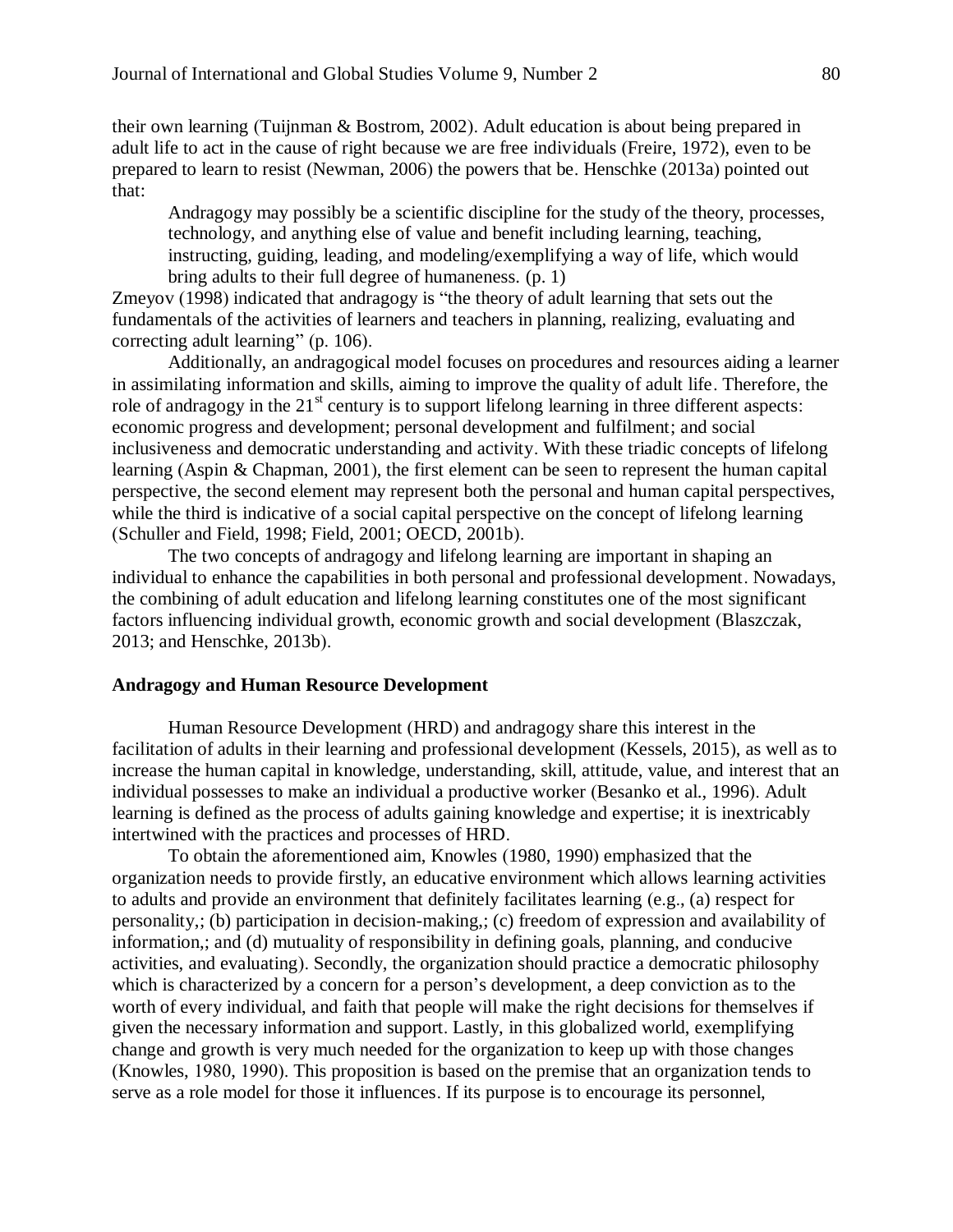their own learning (Tuijnman & Bostrom, 2002). Adult education is about being prepared in adult life to act in the cause of right because we are free individuals (Freire, 1972), even to be prepared to learn to resist (Newman, 2006) the powers that be. Henschke (2013a) pointed out that:

Andragogy may possibly be a scientific discipline for the study of the theory, processes, technology, and anything else of value and benefit including learning, teaching, instructing, guiding, leading, and modeling/exemplifying a way of life, which would bring adults to their full degree of humaneness. (p. 1)

Zmeyov (1998) indicated that andragogy is "the theory of adult learning that sets out the fundamentals of the activities of learners and teachers in planning, realizing, evaluating and correcting adult learning" (p. 106).

Additionally, an andragogical model focuses on procedures and resources aiding a learner in assimilating information and skills, aiming to improve the quality of adult life. Therefore, the role of andragogy in the 21<sup>st</sup> century is to support lifelong learning in three different aspects: economic progress and development; personal development and fulfilment; and social inclusiveness and democratic understanding and activity. With these triadic concepts of lifelong learning (Aspin & Chapman, 2001), the first element can be seen to represent the human capital perspective, the second element may represent both the personal and human capital perspectives, while the third is indicative of a social capital perspective on the concept of lifelong learning (Schuller and Field, 1998; Field, 2001; OECD, 2001b).

The two concepts of andragogy and lifelong learning are important in shaping an individual to enhance the capabilities in both personal and professional development. Nowadays, the combining of adult education and lifelong learning constitutes one of the most significant factors influencing individual growth, economic growth and social development (Blaszczak, 2013; and Henschke, 2013b).

# **Andragogy and Human Resource Development**

Human Resource Development (HRD) and andragogy share this interest in the facilitation of adults in their learning and professional development (Kessels, 2015), as well as to increase the human capital in knowledge, understanding, skill, attitude, value, and interest that an individual possesses to make an individual a productive worker (Besanko et al., 1996). Adult learning is defined as the process of adults gaining knowledge and expertise; it is inextricably intertwined with the practices and processes of HRD.

To obtain the aforementioned aim, Knowles (1980, 1990) emphasized that the organization needs to provide firstly, an educative environment which allows learning activities to adults and provide an environment that definitely facilitates learning (e.g., (a) respect for personality,; (b) participation in decision-making,; (c) freedom of expression and availability of information,; and (d) mutuality of responsibility in defining goals, planning, and conducive activities, and evaluating). Secondly, the organization should practice a democratic philosophy which is characterized by a concern for a person's development, a deep conviction as to the worth of every individual, and faith that people will make the right decisions for themselves if given the necessary information and support. Lastly, in this globalized world, exemplifying change and growth is very much needed for the organization to keep up with those changes (Knowles, 1980, 1990). This proposition is based on the premise that an organization tends to serve as a role model for those it influences. If its purpose is to encourage its personnel,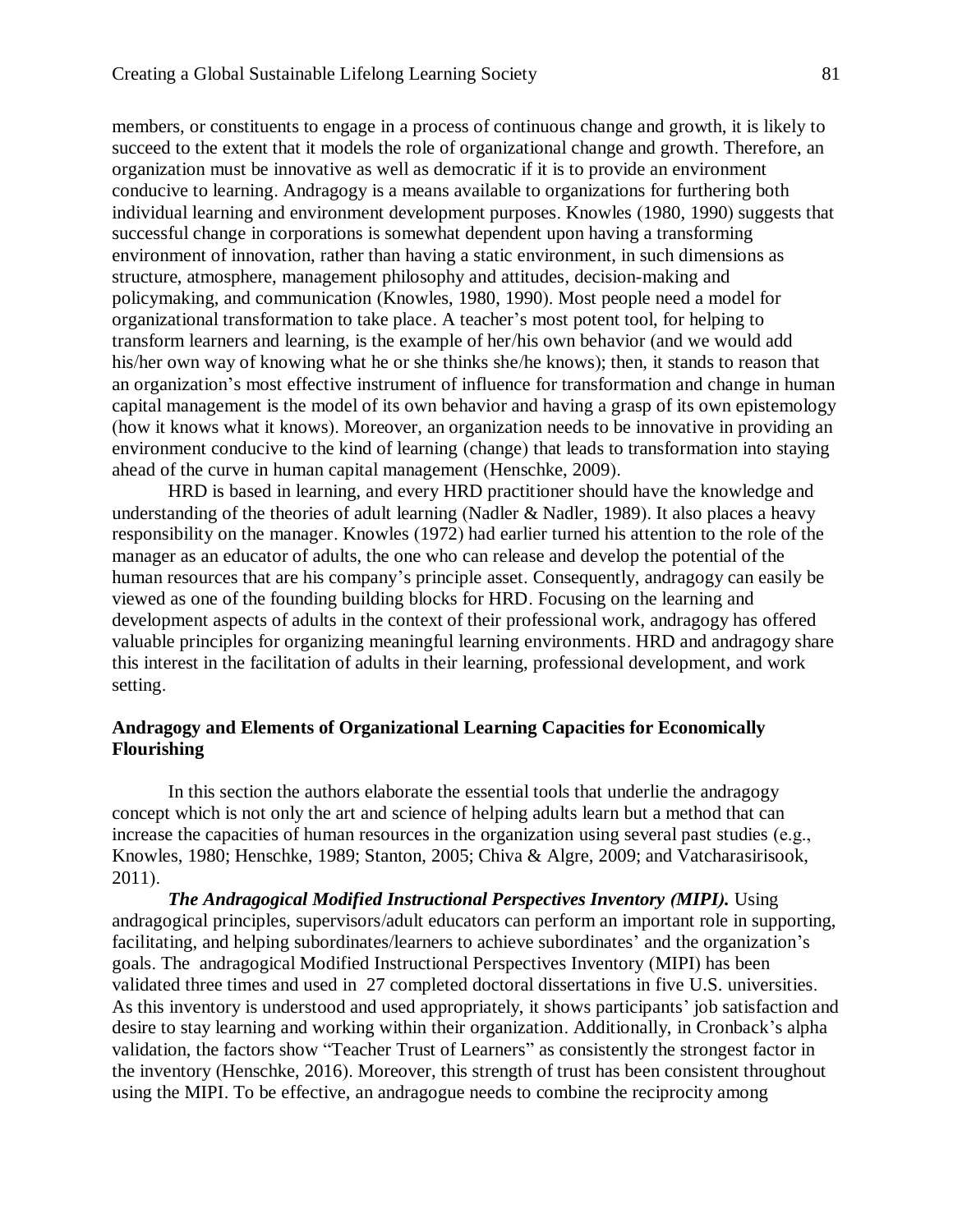members, or constituents to engage in a process of continuous change and growth, it is likely to succeed to the extent that it models the role of organizational change and growth. Therefore, an organization must be innovative as well as democratic if it is to provide an environment conducive to learning. Andragogy is a means available to organizations for furthering both individual learning and environment development purposes. Knowles (1980, 1990) suggests that successful change in corporations is somewhat dependent upon having a transforming environment of innovation, rather than having a static environment, in such dimensions as structure, atmosphere, management philosophy and attitudes, decision-making and policymaking, and communication (Knowles, 1980, 1990). Most people need a model for organizational transformation to take place. A teacher's most potent tool, for helping to transform learners and learning, is the example of her/his own behavior (and we would add his/her own way of knowing what he or she thinks she/he knows); then, it stands to reason that an organization's most effective instrument of influence for transformation and change in human capital management is the model of its own behavior and having a grasp of its own epistemology (how it knows what it knows). Moreover, an organization needs to be innovative in providing an environment conducive to the kind of learning (change) that leads to transformation into staying ahead of the curve in human capital management (Henschke, 2009).

HRD is based in learning, and every HRD practitioner should have the knowledge and understanding of the theories of adult learning (Nadler & Nadler, 1989). It also places a heavy responsibility on the manager. Knowles (1972) had earlier turned his attention to the role of the manager as an educator of adults, the one who can release and develop the potential of the human resources that are his company's principle asset. Consequently, andragogy can easily be viewed as one of the founding building blocks for HRD. Focusing on the learning and development aspects of adults in the context of their professional work, andragogy has offered valuable principles for organizing meaningful learning environments. HRD and andragogy share this interest in the facilitation of adults in their learning, professional development, and work setting.

# **Andragogy and Elements of Organizational Learning Capacities for Economically Flourishing**

In this section the authors elaborate the essential tools that underlie the andragogy concept which is not only the art and science of helping adults learn but a method that can increase the capacities of human resources in the organization using several past studies (e.g., Knowles, 1980; Henschke, 1989; Stanton, 2005; Chiva & Algre, 2009; and Vatcharasirisook, 2011).

*The Andragogical Modified Instructional Perspectives Inventory (MIPI).* Using andragogical principles, supervisors/adult educators can perform an important role in supporting, facilitating, and helping subordinates/learners to achieve subordinates' and the organization's goals. The andragogical Modified Instructional Perspectives Inventory (MIPI) has been validated three times and used in 27 completed doctoral dissertations in five U.S. universities. As this inventory is understood and used appropriately, it shows participants' job satisfaction and desire to stay learning and working within their organization. Additionally, in Cronback's alpha validation, the factors show "Teacher Trust of Learners" as consistently the strongest factor in the inventory (Henschke, 2016). Moreover, this strength of trust has been consistent throughout using the MIPI. To be effective, an andragogue needs to combine the reciprocity among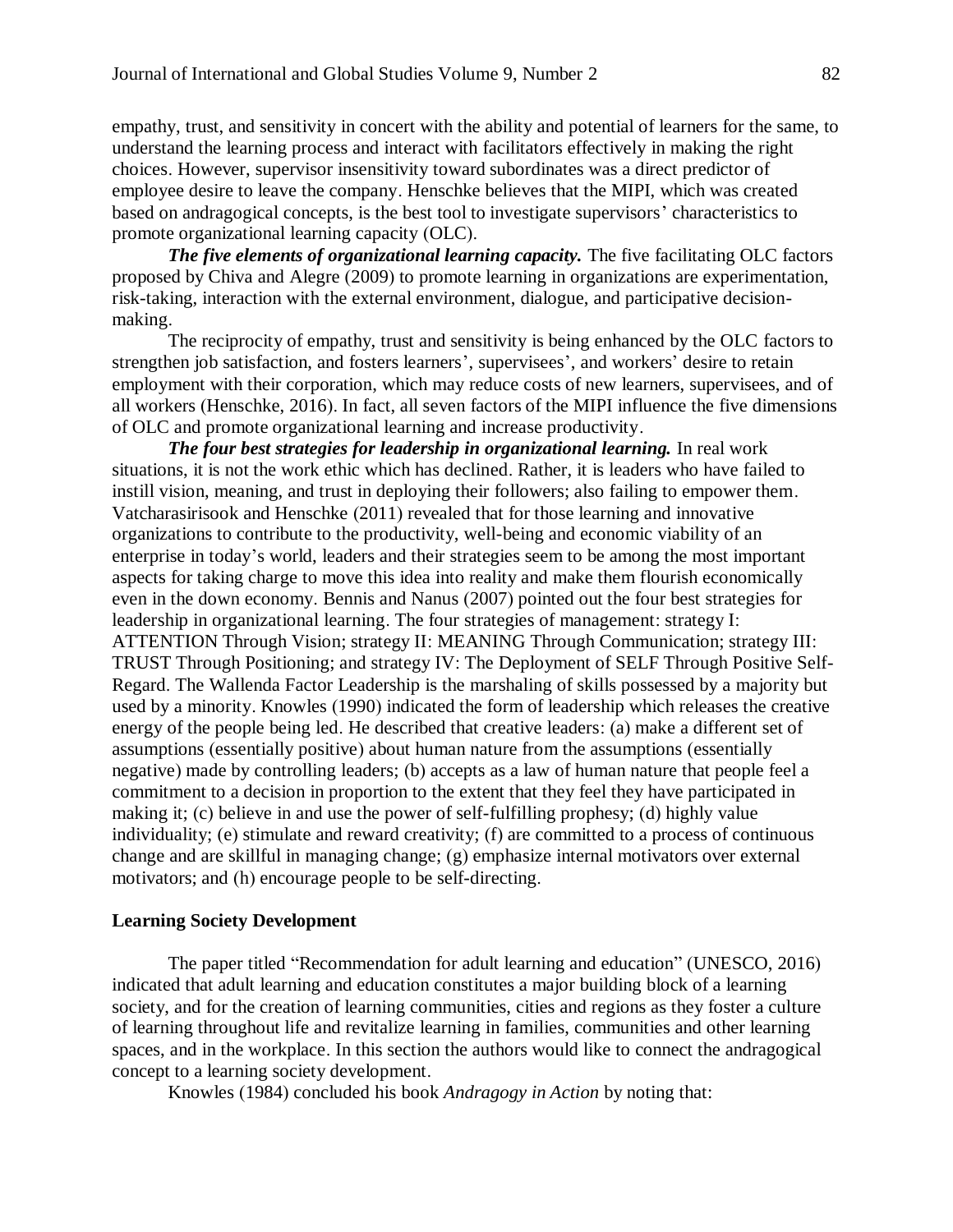empathy, trust, and sensitivity in concert with the ability and potential of learners for the same, to understand the learning process and interact with facilitators effectively in making the right choices. However, supervisor insensitivity toward subordinates was a direct predictor of employee desire to leave the company. Henschke believes that the MIPI, which was created based on andragogical concepts, is the best tool to investigate supervisors' characteristics to promote organizational learning capacity (OLC).

*The five elements of organizational learning capacity.* The five facilitating OLC factors proposed by Chiva and Alegre (2009) to promote learning in organizations are experimentation, risk-taking, interaction with the external environment, dialogue, and participative decisionmaking.

The reciprocity of empathy, trust and sensitivity is being enhanced by the OLC factors to strengthen job satisfaction, and fosters learners', supervisees', and workers' desire to retain employment with their corporation, which may reduce costs of new learners, supervisees, and of all workers (Henschke, 2016). In fact, all seven factors of the MIPI influence the five dimensions of OLC and promote organizational learning and increase productivity.

*The four best strategies for leadership in organizational learning.* In real work situations, it is not the work ethic which has declined. Rather, it is leaders who have failed to instill vision, meaning, and trust in deploying their followers; also failing to empower them. Vatcharasirisook and Henschke (2011) revealed that for those learning and innovative organizations to contribute to the productivity, well-being and economic viability of an enterprise in today's world, leaders and their strategies seem to be among the most important aspects for taking charge to move this idea into reality and make them flourish economically even in the down economy. Bennis and Nanus (2007) pointed out the four best strategies for leadership in organizational learning. The four strategies of management: strategy I: ATTENTION Through Vision; strategy II: MEANING Through Communication; strategy III: TRUST Through Positioning; and strategy IV: The Deployment of SELF Through Positive Self-Regard. The Wallenda Factor Leadership is the marshaling of skills possessed by a majority but used by a minority. Knowles (1990) indicated the form of leadership which releases the creative energy of the people being led. He described that creative leaders: (a) make a different set of assumptions (essentially positive) about human nature from the assumptions (essentially negative) made by controlling leaders; (b) accepts as a law of human nature that people feel a commitment to a decision in proportion to the extent that they feel they have participated in making it; (c) believe in and use the power of self-fulfilling prophesy; (d) highly value individuality; (e) stimulate and reward creativity; (f) are committed to a process of continuous change and are skillful in managing change; (g) emphasize internal motivators over external motivators; and (h) encourage people to be self-directing.

#### **Learning Society Development**

The paper titled "Recommendation for adult learning and education" (UNESCO, 2016) indicated that adult learning and education constitutes a major building block of a learning society, and for the creation of learning communities, cities and regions as they foster a culture of learning throughout life and revitalize learning in families, communities and other learning spaces, and in the workplace. In this section the authors would like to connect the andragogical concept to a learning society development.

Knowles (1984) concluded his book *Andragogy in Action* by noting that: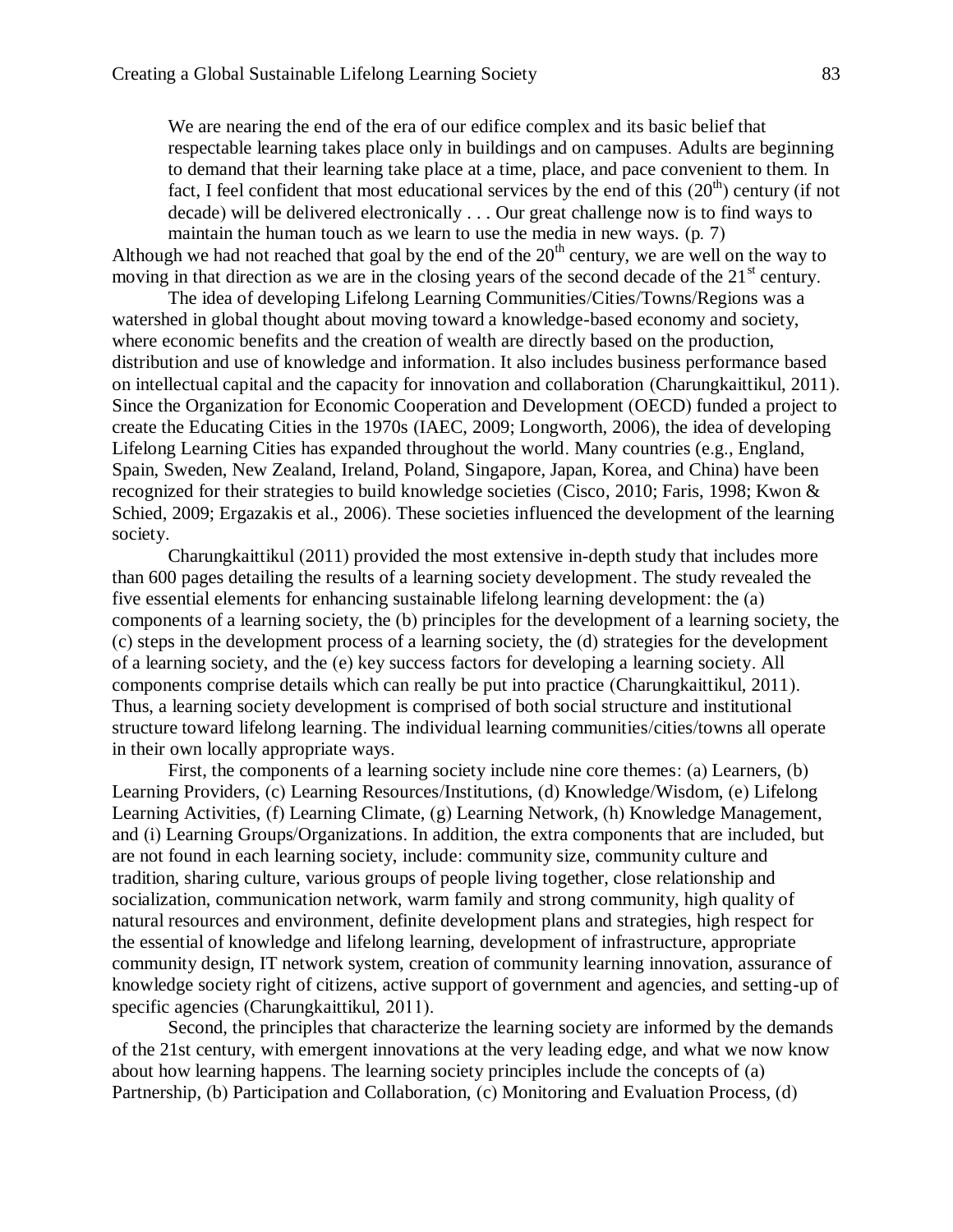We are nearing the end of the era of our edifice complex and its basic belief that respectable learning takes place only in buildings and on campuses*.* Adults are beginning to demand that their learning take place at a time, place, and pace convenient to them*.* In fact, I feel confident that most educational services by the end of this  $(20<sup>th</sup>)$  century (if not decade) will be delivered electronically . . . Our great challenge now is to find ways to maintain the human touch as we learn to use the media in new ways. (p*.* 7)

Although we had not reached that goal by the end of the  $20<sup>th</sup>$  century, we are well on the way to moving in that direction as we are in the closing years of the second decade of the  $21<sup>st</sup>$  century.

The idea of developing Lifelong Learning Communities/Cities/Towns/Regions was a watershed in global thought about moving toward a knowledge-based economy and society, where economic benefits and the creation of wealth are directly based on the production, distribution and use of knowledge and information. It also includes business performance based on intellectual capital and the capacity for innovation and collaboration (Charungkaittikul, 2011). Since the Organization for Economic Cooperation and Development (OECD) funded a project to create the Educating Cities in the 1970s (IAEC, 2009; Longworth, 2006), the idea of developing Lifelong Learning Cities has expanded throughout the world. Many countries (e.g., England, Spain, Sweden, New Zealand, Ireland, Poland, Singapore, Japan, Korea, and China) have been recognized for their strategies to build knowledge societies (Cisco, 2010; Faris, 1998; Kwon & Schied, 2009; Ergazakis et al., 2006). These societies influenced the development of the learning society.

Charungkaittikul (2011) provided the most extensive in-depth study that includes more than 600 pages detailing the results of a learning society development. The study revealed the five essential elements for enhancing sustainable lifelong learning development: the (a) components of a learning society, the (b) principles for the development of a learning society, the (c) steps in the development process of a learning society, the (d) strategies for the development of a learning society, and the (e) key success factors for developing a learning society. All components comprise details which can really be put into practice (Charungkaittikul, 2011). Thus, a learning society development is comprised of both social structure and institutional structure toward lifelong learning. The individual learning communities/cities/towns all operate in their own locally appropriate ways.

First, the components of a learning society include nine core themes: (a) Learners, (b) Learning Providers, (c) Learning Resources/Institutions, (d) Knowledge/Wisdom, (e) Lifelong Learning Activities, (f) Learning Climate, (g) Learning Network, (h) Knowledge Management, and (i) Learning Groups/Organizations. In addition, the extra components that are included, but are not found in each learning society, include: community size, community culture and tradition, sharing culture, various groups of people living together, close relationship and socialization, communication network, warm family and strong community, high quality of natural resources and environment, definite development plans and strategies, high respect for the essential of knowledge and lifelong learning, development of infrastructure, appropriate community design, IT network system, creation of community learning innovation, assurance of knowledge society right of citizens, active support of government and agencies, and setting-up of specific agencies (Charungkaittikul, 2011).

Second, the principles that characterize the learning society are informed by the demands of the 21st century, with emergent innovations at the very leading edge, and what we now know about how learning happens. The learning society principles include the concepts of (a) Partnership, (b) Participation and Collaboration, (c) Monitoring and Evaluation Process, (d)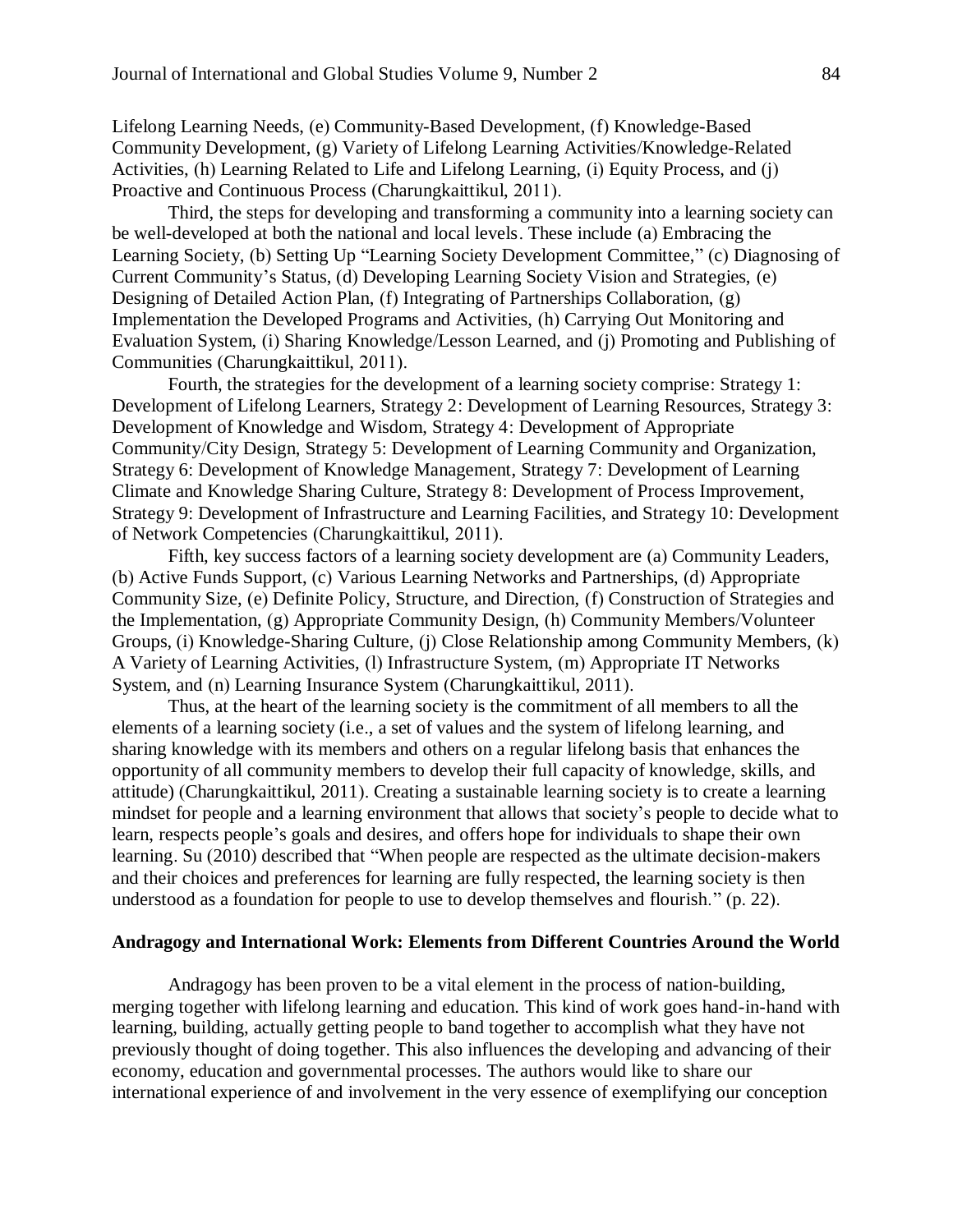Lifelong Learning Needs, (e) Community-Based Development, (f) Knowledge-Based Community Development, (g) Variety of Lifelong Learning Activities/Knowledge-Related Activities, (h) Learning Related to Life and Lifelong Learning, (i) Equity Process, and (j) Proactive and Continuous Process (Charungkaittikul, 2011).

Third, the steps for developing and transforming a community into a learning society can be well-developed at both the national and local levels. These include (a) Embracing the Learning Society, (b) Setting Up "Learning Society Development Committee," (c) Diagnosing of Current Community's Status, (d) Developing Learning Society Vision and Strategies, (e) Designing of Detailed Action Plan, (f) Integrating of Partnerships Collaboration, (g) Implementation the Developed Programs and Activities, (h) Carrying Out Monitoring and Evaluation System, (i) Sharing Knowledge/Lesson Learned, and (j) Promoting and Publishing of Communities (Charungkaittikul, 2011).

Fourth, the strategies for the development of a learning society comprise: Strategy 1: Development of Lifelong Learners, Strategy 2: Development of Learning Resources, Strategy 3: Development of Knowledge and Wisdom, Strategy 4: Development of Appropriate Community/City Design, Strategy 5: Development of Learning Community and Organization, Strategy 6: Development of Knowledge Management, Strategy 7: Development of Learning Climate and Knowledge Sharing Culture, Strategy 8: Development of Process Improvement, Strategy 9: Development of Infrastructure and Learning Facilities, and Strategy 10: Development of Network Competencies (Charungkaittikul, 2011).

Fifth, key success factors of a learning society development are (a) Community Leaders, (b) Active Funds Support, (c) Various Learning Networks and Partnerships, (d) Appropriate Community Size, (e) Definite Policy, Structure, and Direction, (f) Construction of Strategies and the Implementation, (g) Appropriate Community Design, (h) Community Members/Volunteer Groups, (i) Knowledge-Sharing Culture, (j) Close Relationship among Community Members, (k) A Variety of Learning Activities, (l) Infrastructure System, (m) Appropriate IT Networks System, and (n) Learning Insurance System (Charungkaittikul, 2011).

Thus, at the heart of the learning society is the commitment of all members to all the elements of a learning society (i.e., a set of values and the system of lifelong learning, and sharing knowledge with its members and others on a regular lifelong basis that enhances the opportunity of all community members to develop their full capacity of knowledge, skills, and attitude) (Charungkaittikul, 2011). Creating a sustainable learning society is to create a learning mindset for people and a learning environment that allows that society's people to decide what to learn, respects people's goals and desires, and offers hope for individuals to shape their own learning. Su (2010) described that "When people are respected as the ultimate decision*-*makers and their choices and preferences for learning are fully respected, the learning society is then understood as a foundation for people to use to develop themselves and flourish*.*" (p. 22).

# **Andragogy and International Work: Elements from Different Countries Around the World**

Andragogy has been proven to be a vital element in the process of nation-building, merging together with lifelong learning and education. This kind of work goes hand-in-hand with learning, building, actually getting people to band together to accomplish what they have not previously thought of doing together. This also influences the developing and advancing of their economy, education and governmental processes. The authors would like to share our international experience of and involvement in the very essence of exemplifying our conception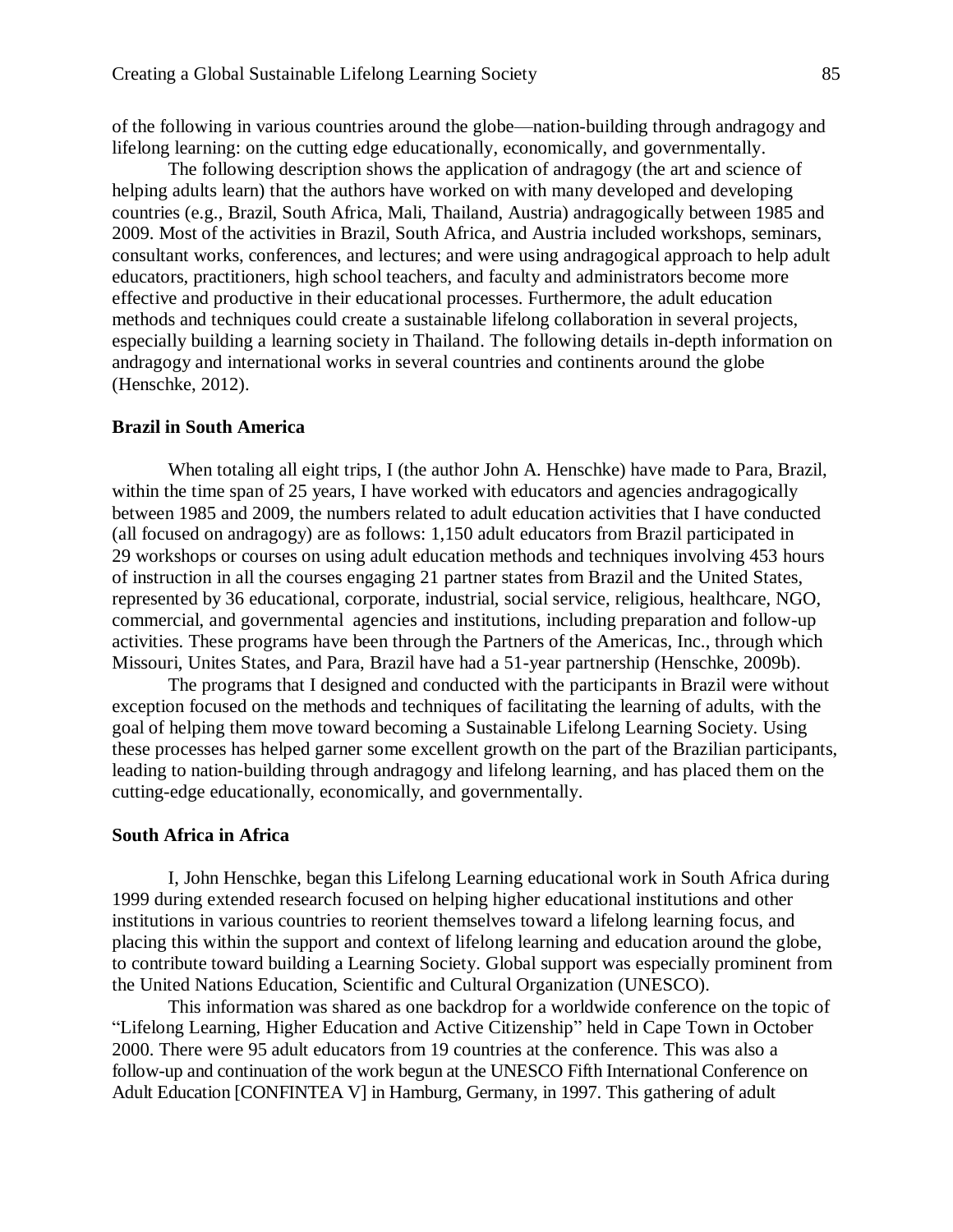of the following in various countries around the globe—nation-building through andragogy and lifelong learning: on the cutting edge educationally, economically, and governmentally.

The following description shows the application of andragogy (the art and science of helping adults learn) that the authors have worked on with many developed and developing countries (e.g., Brazil, South Africa, Mali, Thailand, Austria) andragogically between 1985 and 2009. Most of the activities in Brazil, South Africa, and Austria included workshops, seminars, consultant works, conferences, and lectures; and were using andragogical approach to help adult educators, practitioners, high school teachers, and faculty and administrators become more effective and productive in their educational processes. Furthermore, the adult education methods and techniques could create a sustainable lifelong collaboration in several projects, especially building a learning society in Thailand. The following details in-depth information on andragogy and international works in several countries and continents around the globe (Henschke, 2012).

### **Brazil in South America**

When totaling all eight trips, I (the author John A. Henschke) have made to Para, Brazil, within the time span of 25 years, I have worked with educators and agencies and agogically between 1985 and 2009, the numbers related to adult education activities that I have conducted (all focused on andragogy) are as follows: 1,150 adult educators from Brazil participated in 29 workshops or courses on using adult education methods and techniques involving 453 hours of instruction in all the courses engaging 21 partner states from Brazil and the United States, represented by 36 educational, corporate, industrial, social service, religious, healthcare, NGO, commercial, and governmental agencies and institutions, including preparation and follow-up activities. These programs have been through the Partners of the Americas, Inc., through which Missouri, Unites States, and Para, Brazil have had a 51-year partnership (Henschke, 2009b).

The programs that I designed and conducted with the participants in Brazil were without exception focused on the methods and techniques of facilitating the learning of adults, with the goal of helping them move toward becoming a Sustainable Lifelong Learning Society. Using these processes has helped garner some excellent growth on the part of the Brazilian participants, leading to nation-building through andragogy and lifelong learning, and has placed them on the cutting-edge educationally, economically, and governmentally.

#### **South Africa in Africa**

I, John Henschke, began this Lifelong Learning educational work in South Africa during 1999 during extended research focused on helping higher educational institutions and other institutions in various countries to reorient themselves toward a lifelong learning focus, and placing this within the support and context of lifelong learning and education around the globe, to contribute toward building a Learning Society. Global support was especially prominent from the United Nations Education, Scientific and Cultural Organization (UNESCO).

This information was shared as one backdrop for a worldwide conference on the topic of "Lifelong Learning, Higher Education and Active Citizenship" held in Cape Town in October 2000. There were 95 adult educators from 19 countries at the conference. This was also a follow-up and continuation of the work begun at the UNESCO Fifth International Conference on Adult Education [CONFINTEA V] in Hamburg, Germany, in 1997. This gathering of adult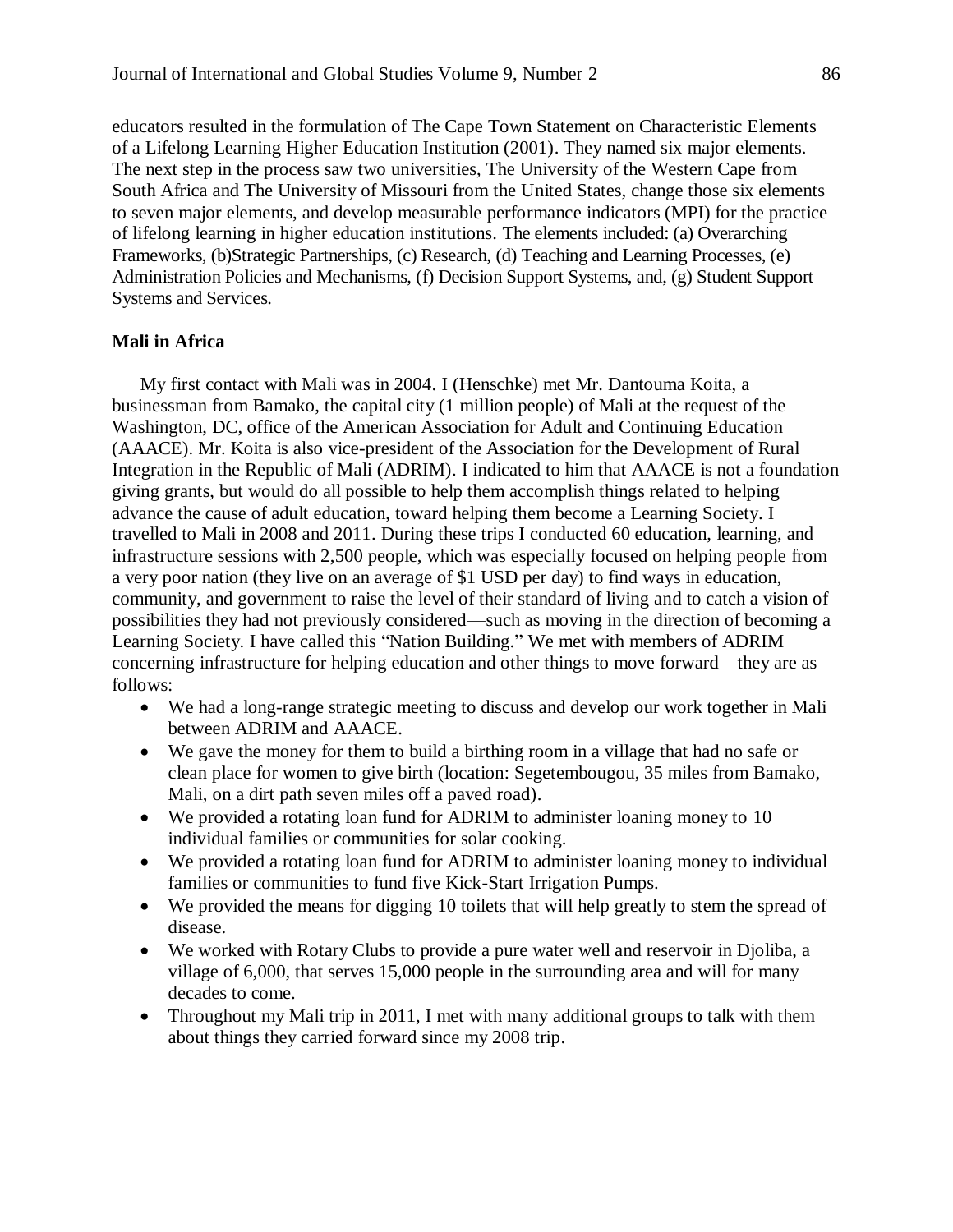educators resulted in the formulation of The Cape Town Statement on Characteristic Elements of a Lifelong Learning Higher Education Institution (2001). They named six major elements. The next step in the process saw two universities, The University of the Western Cape from South Africa and The University of Missouri from the United States, change those six elements to seven major elements, and develop measurable performance indicators (MPI) for the practice of lifelong learning in higher education institutions. The elements included: (a) Overarching Frameworks, (b)Strategic Partnerships, (c) Research, (d) Teaching and Learning Processes, (e) Administration Policies and Mechanisms, (f) Decision Support Systems, and, (g) Student Support Systems and Services.

# **Mali in Africa**

My first contact with Mali was in 2004. I (Henschke) met Mr. Dantouma Koita, a businessman from Bamako, the capital city (1 million people) of Mali at the request of the Washington, DC, office of the American Association for Adult and Continuing Education (AAACE). Mr. Koita is also vice-president of the Association for the Development of Rural Integration in the Republic of Mali (ADRIM). I indicated to him that AAACE is not a foundation giving grants, but would do all possible to help them accomplish things related to helping advance the cause of adult education, toward helping them become a Learning Society. I travelled to Mali in 2008 and 2011. During these trips I conducted 60 education, learning, and infrastructure sessions with 2,500 people, which was especially focused on helping people from a very poor nation (they live on an average of \$1 USD per day) to find ways in education, community, and government to raise the level of their standard of living and to catch a vision of possibilities they had not previously considered—such as moving in the direction of becoming a Learning Society. I have called this "Nation Building." We met with members of ADRIM concerning infrastructure for helping education and other things to move forward—they are as follows:

- We had a long-range strategic meeting to discuss and develop our work together in Mali between ADRIM and AAACE.
- We gave the money for them to build a birthing room in a village that had no safe or clean place for women to give birth (location: Segetembougou, 35 miles from Bamako, Mali, on a dirt path seven miles off a paved road).
- We provided a rotating loan fund for ADRIM to administer loaning money to 10 individual families or communities for solar cooking.
- We provided a rotating loan fund for ADRIM to administer loaning money to individual families or communities to fund five Kick-Start Irrigation Pumps.
- We provided the means for digging 10 toilets that will help greatly to stem the spread of disease.
- We worked with Rotary Clubs to provide a pure water well and reservoir in Djoliba, a village of 6,000, that serves 15,000 people in the surrounding area and will for many decades to come.
- Throughout my Mali trip in 2011, I met with many additional groups to talk with them about things they carried forward since my 2008 trip.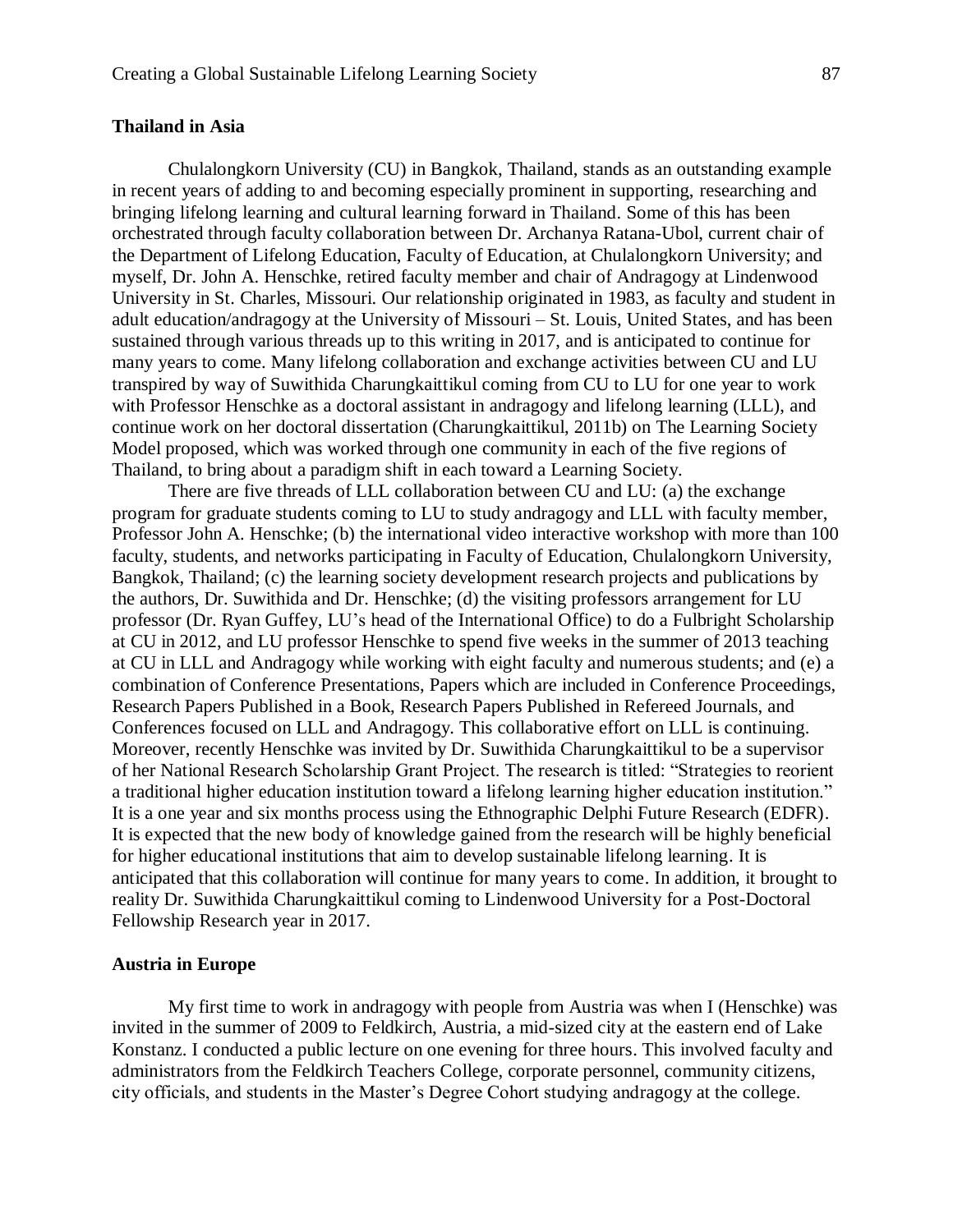# **Thailand in Asia**

Chulalongkorn University (CU) in Bangkok, Thailand, stands as an outstanding example in recent years of adding to and becoming especially prominent in supporting, researching and bringing lifelong learning and cultural learning forward in Thailand. Some of this has been orchestrated through faculty collaboration between Dr. Archanya Ratana-Ubol, current chair of the Department of Lifelong Education, Faculty of Education, at Chulalongkorn University; and myself, Dr. John A. Henschke, retired faculty member and chair of Andragogy at Lindenwood University in St. Charles, Missouri. Our relationship originated in 1983, as faculty and student in adult education/andragogy at the University of Missouri – St. Louis, United States, and has been sustained through various threads up to this writing in 2017, and is anticipated to continue for many years to come. Many lifelong collaboration and exchange activities between CU and LU transpired by way of Suwithida Charungkaittikul coming from CU to LU for one year to work with Professor Henschke as a doctoral assistant in andragogy and lifelong learning (LLL), and continue work on her doctoral dissertation (Charungkaittikul, 2011b) on The Learning Society Model proposed, which was worked through one community in each of the five regions of Thailand, to bring about a paradigm shift in each toward a Learning Society.

There are five threads of LLL collaboration between CU and LU: (a) the exchange program for graduate students coming to LU to study andragogy and LLL with faculty member, Professor John A. Henschke; (b) the international video interactive workshop with more than 100 faculty, students, and networks participating in Faculty of Education, Chulalongkorn University, Bangkok, Thailand; (c) the learning society development research projects and publications by the authors, Dr. Suwithida and Dr. Henschke; (d) the visiting professors arrangement for LU professor (Dr. Ryan Guffey, LU's head of the International Office) to do a Fulbright Scholarship at CU in 2012, and LU professor Henschke to spend five weeks in the summer of 2013 teaching at CU in LLL and Andragogy while working with eight faculty and numerous students; and (e) a combination of Conference Presentations, Papers which are included in Conference Proceedings, Research Papers Published in a Book, Research Papers Published in Refereed Journals, and Conferences focused on LLL and Andragogy. This collaborative effort on LLL is continuing. Moreover, recently Henschke was invited by Dr. Suwithida Charungkaittikul to be a supervisor of her National Research Scholarship Grant Project. The research is titled: "Strategies to reorient a traditional higher education institution toward a lifelong learning higher education institution." It is a one year and six months process using the Ethnographic Delphi Future Research (EDFR). It is expected that the new body of knowledge gained from the research will be highly beneficial for higher educational institutions that aim to develop sustainable lifelong learning. It is anticipated that this collaboration will continue for many years to come. In addition, it brought to reality Dr. Suwithida Charungkaittikul coming to Lindenwood University for a Post-Doctoral Fellowship Research year in 2017.

#### **Austria in Europe**

My first time to work in andragogy with people from Austria was when I (Henschke) was invited in the summer of 2009 to Feldkirch, Austria, a mid-sized city at the eastern end of Lake Konstanz. I conducted a public lecture on one evening for three hours. This involved faculty and administrators from the Feldkirch Teachers College, corporate personnel, community citizens, city officials, and students in the Master's Degree Cohort studying andragogy at the college.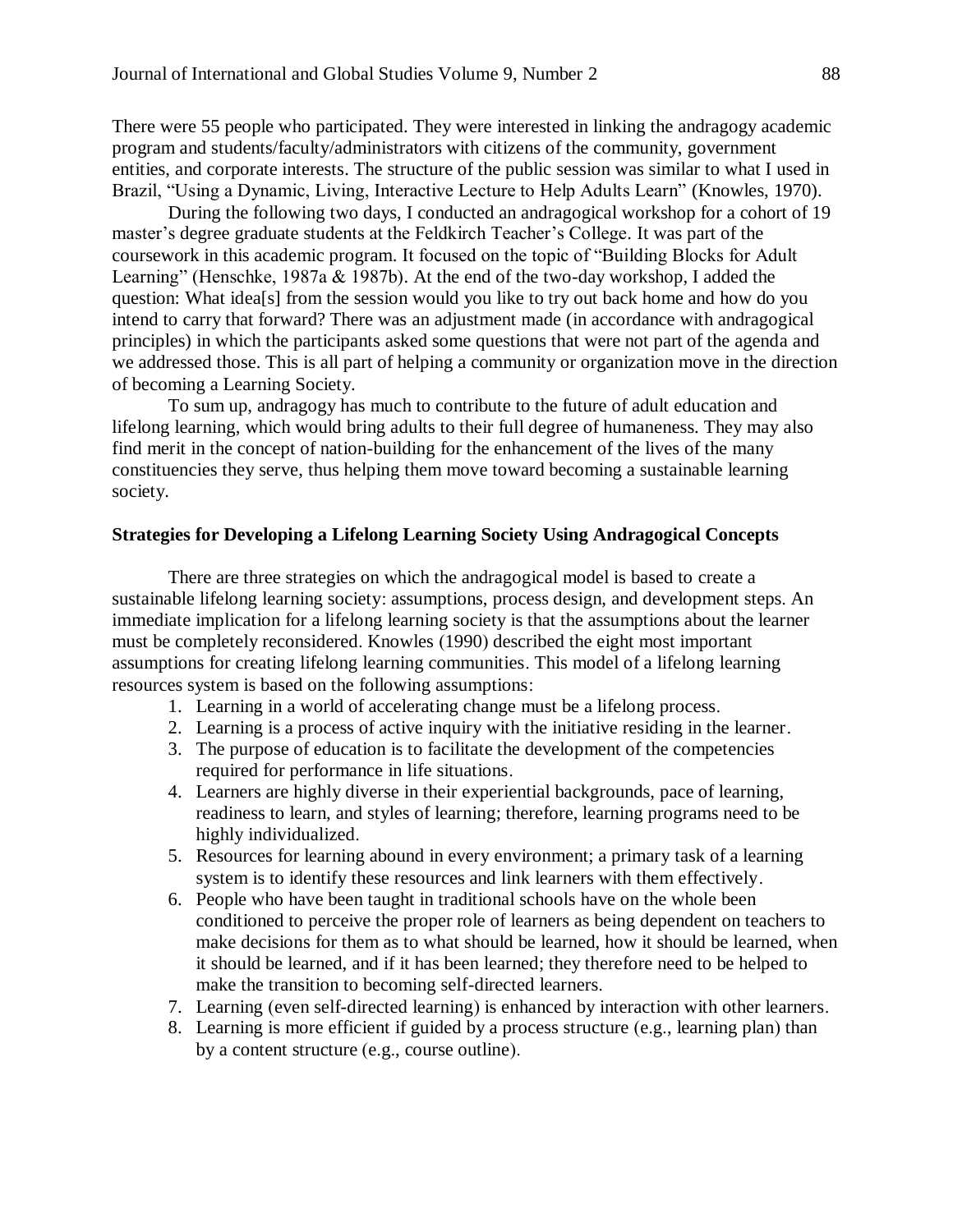There were 55 people who participated. They were interested in linking the andragogy academic program and students/faculty/administrators with citizens of the community, government entities, and corporate interests. The structure of the public session was similar to what I used in Brazil, "Using a Dynamic, Living, Interactive Lecture to Help Adults Learn" (Knowles, 1970).

During the following two days, I conducted an andragogical workshop for a cohort of 19 master's degree graduate students at the Feldkirch Teacher's College. It was part of the coursework in this academic program. It focused on the topic of "Building Blocks for Adult Learning" (Henschke, 1987a & 1987b). At the end of the two-day workshop, I added the question: What idea[s] from the session would you like to try out back home and how do you intend to carry that forward? There was an adjustment made (in accordance with andragogical principles) in which the participants asked some questions that were not part of the agenda and we addressed those. This is all part of helping a community or organization move in the direction of becoming a Learning Society.

To sum up, andragogy has much to contribute to the future of adult education and lifelong learning, which would bring adults to their full degree of humaneness. They may also find merit in the concept of nation-building for the enhancement of the lives of the many constituencies they serve, thus helping them move toward becoming a sustainable learning society.

# **Strategies for Developing a Lifelong Learning Society Using Andragogical Concepts**

There are three strategies on which the andragogical model is based to create a sustainable lifelong learning society: assumptions, process design, and development steps. An immediate implication for a lifelong learning society is that the assumptions about the learner must be completely reconsidered. Knowles (1990) described the eight most important assumptions for creating lifelong learning communities. This model of a lifelong learning resources system is based on the following assumptions:

- 1. Learning in a world of accelerating change must be a lifelong process.
- 2. Learning is a process of active inquiry with the initiative residing in the learner.
- 3. The purpose of education is to facilitate the development of the competencies required for performance in life situations.
- 4. Learners are highly diverse in their experiential backgrounds, pace of learning, readiness to learn, and styles of learning; therefore, learning programs need to be highly individualized.
- 5. Resources for learning abound in every environment; a primary task of a learning system is to identify these resources and link learners with them effectively.
- 6. People who have been taught in traditional schools have on the whole been conditioned to perceive the proper role of learners as being dependent on teachers to make decisions for them as to what should be learned, how it should be learned, when it should be learned, and if it has been learned; they therefore need to be helped to make the transition to becoming self-directed learners.
- 7. Learning (even self-directed learning) is enhanced by interaction with other learners.
- 8. Learning is more efficient if guided by a process structure (e.g., learning plan) than by a content structure (e.g., course outline).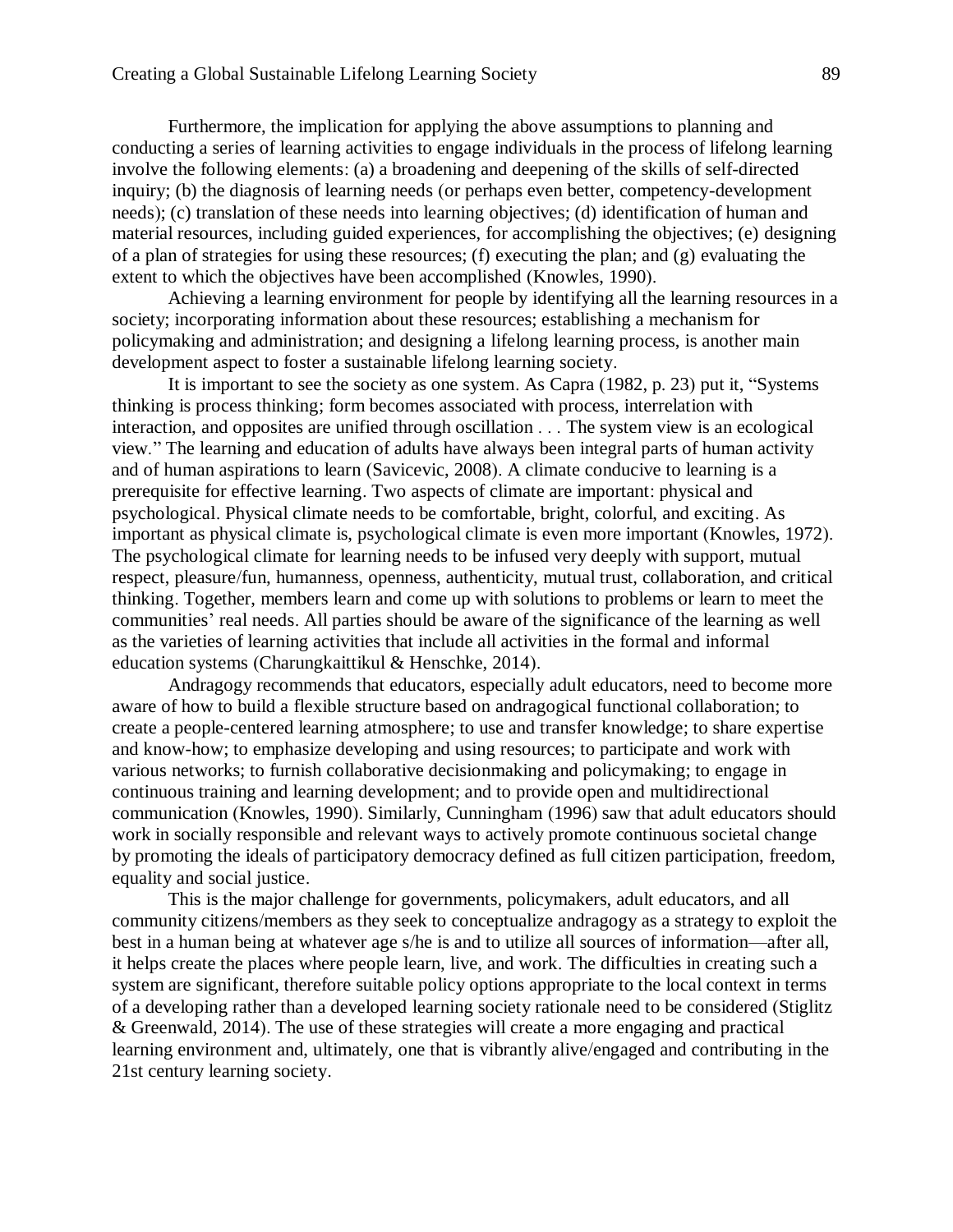Furthermore, the implication for applying the above assumptions to planning and conducting a series of learning activities to engage individuals in the process of lifelong learning involve the following elements: (a) a broadening and deepening of the skills of self-directed inquiry; (b) the diagnosis of learning needs (or perhaps even better, competency-development needs); (c) translation of these needs into learning objectives; (d) identification of human and material resources, including guided experiences, for accomplishing the objectives; (e) designing of a plan of strategies for using these resources; (f) executing the plan; and  $(g)$  evaluating the extent to which the objectives have been accomplished (Knowles, 1990).

Achieving a learning environment for people by identifying all the learning resources in a society; incorporating information about these resources; establishing a mechanism for policymaking and administration; and designing a lifelong learning process, is another main development aspect to foster a sustainable lifelong learning society.

It is important to see the society as one system. As Capra (1982, p. 23) put it, "Systems thinking is process thinking; form becomes associated with process, interrelation with interaction, and opposites are unified through oscillation *. . .* The system view is an ecological view*.*" The learning and education of adults have always been integral parts of human activity and of human aspirations to learn (Savicevic, 2008). A climate conducive to learning is a prerequisite for effective learning. Two aspects of climate are important: physical and psychological. Physical climate needs to be comfortable, bright, colorful, and exciting. As important as physical climate is, psychological climate is even more important (Knowles, 1972). The psychological climate for learning needs to be infused very deeply with support, mutual respect, pleasure/fun, humanness, openness, authenticity, mutual trust, collaboration, and critical thinking. Together, members learn and come up with solutions to problems or learn to meet the communities' real needs. All parties should be aware of the significance of the learning as well as the varieties of learning activities that include all activities in the formal and informal education systems (Charungkaittikul & Henschke, 2014).

Andragogy recommends that educators, especially adult educators, need to become more aware of how to build a flexible structure based on andragogical functional collaboration; to create a people-centered learning atmosphere; to use and transfer knowledge; to share expertise and know-how; to emphasize developing and using resources; to participate and work with various networks; to furnish collaborative decisionmaking and policymaking; to engage in continuous training and learning development; and to provide open and multidirectional communication (Knowles, 1990). Similarly, Cunningham (1996) saw that adult educators should work in socially responsible and relevant ways to actively promote continuous societal change by promoting the ideals of participatory democracy defined as full citizen participation, freedom, equality and social justice.

This is the major challenge for governments, policymakers, adult educators, and all community citizens/members as they seek to conceptualize andragogy as a strategy to exploit the best in a human being at whatever age s/he is and to utilize all sources of information—after all, it helps create the places where people learn, live, and work. The difficulties in creating such a system are significant, therefore suitable policy options appropriate to the local context in terms of a developing rather than a developed learning society rationale need to be considered (Stiglitz & Greenwald, 2014). The use of these strategies will create a more engaging and practical learning environment and, ultimately, one that is vibrantly alive/engaged and contributing in the 21st century learning society.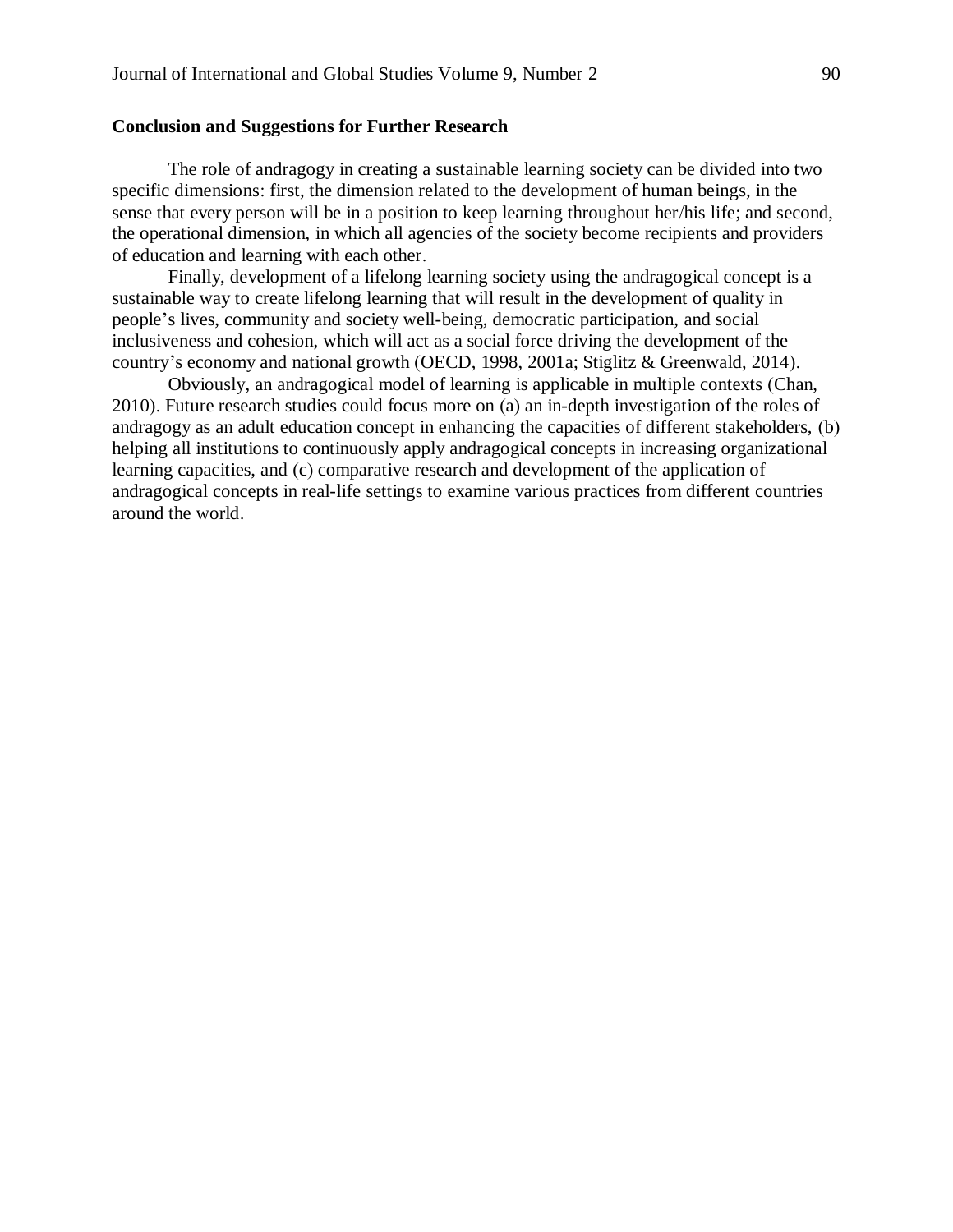# **Conclusion and Suggestions for Further Research**

The role of andragogy in creating a sustainable learning society can be divided into two specific dimensions: first, the dimension related to the development of human beings, in the sense that every person will be in a position to keep learning throughout her/his life; and second, the operational dimension, in which all agencies of the society become recipients and providers of education and learning with each other.

Finally, development of a lifelong learning society using the andragogical concept is a sustainable way to create lifelong learning that will result in the development of quality in people's lives, community and society well-being, democratic participation, and social inclusiveness and cohesion, which will act as a social force driving the development of the country's economy and national growth (OECD, 1998, 2001a; Stiglitz & Greenwald, 2014).

Obviously, an andragogical model of learning is applicable in multiple contexts (Chan, 2010). Future research studies could focus more on (a) an in-depth investigation of the roles of andragogy as an adult education concept in enhancing the capacities of different stakeholders, (b) helping all institutions to continuously apply andragogical concepts in increasing organizational learning capacities, and (c) comparative research and development of the application of andragogical concepts in real-life settings to examine various practices from different countries around the world.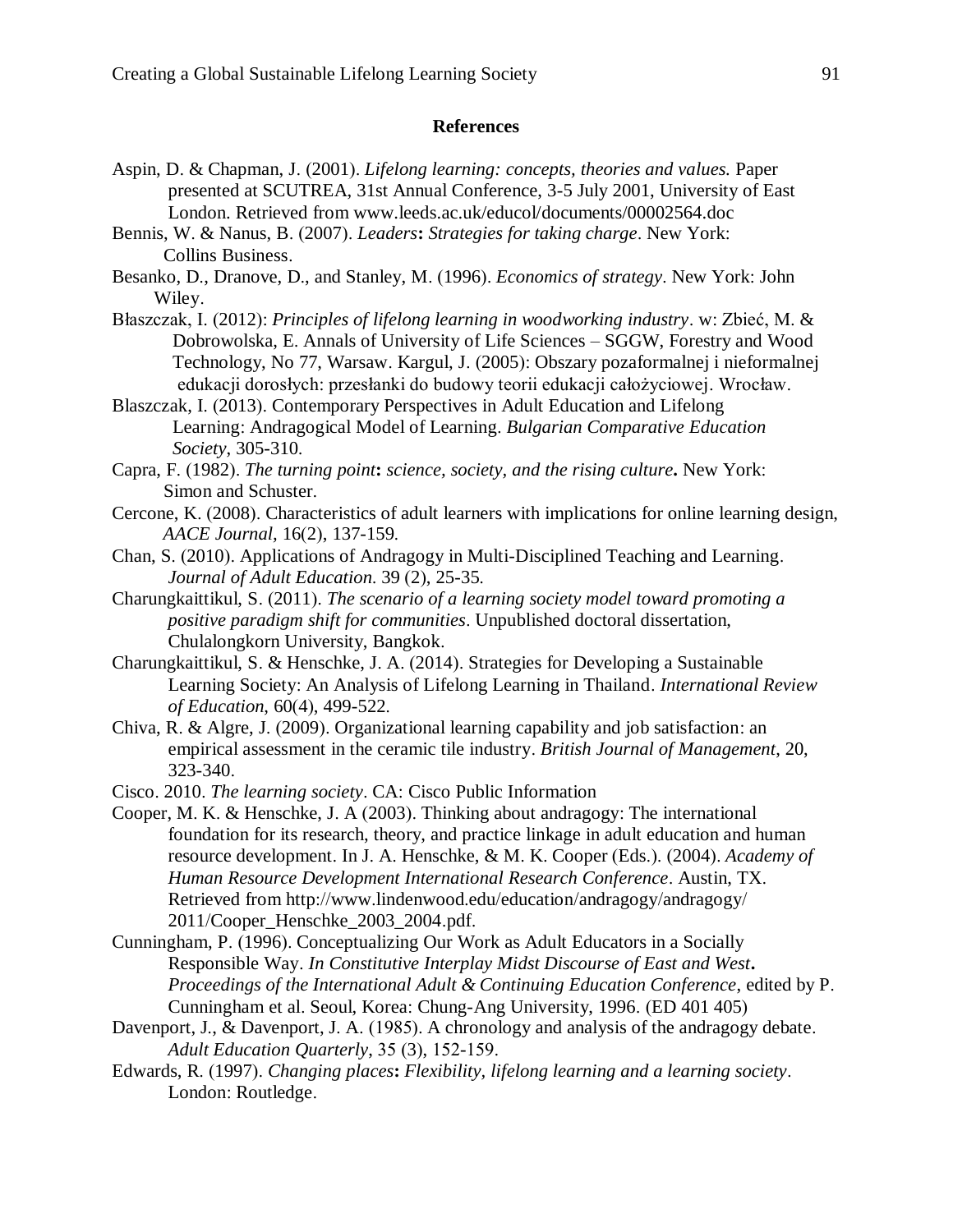# **References**

- Aspin, D. & Chapman, J. (2001). *Lifelong learning: concepts, theories and values.* Paper presented at SCUTREA, 31st Annual Conference, 3-5 July 2001, University of East London. Retrieved from www.leeds.ac.uk/educol/documents/00002564.doc
- Bennis, W. & Nanus, B. (2007). *Leaders***:** *Strategies for taking charge*. New York: Collins Business.
- Besanko, D., Dranove, D., and Stanley, M. (1996). *Economics of strategy*. New York: John Wiley.
- Błaszczak, I. (2012): *Principles of lifelong learning in woodworking industry*. w: Zbieć, M. & Dobrowolska, E. Annals of University of Life Sciences – SGGW, Forestry and Wood Technology, No 77, Warsaw. Kargul, J. (2005): Obszary pozaformalnej i nieformalnej edukacji dorosłych: przesłanki do budowy teorii edukacji całożyciowej. Wrocław.
- Blaszczak, I. (2013). Contemporary Perspectives in Adult Education and Lifelong Learning: Andragogical Model of Learning. *Bulgarian Comparative Education*  *Society*, 305-310.
- Capra, F. (1982). *The turning point***:** *science, society, and the rising culture***.** New York: Simon and Schuster.
- Cercone, K. (2008). Characteristics of adult learners with implications for online learning design, *AACE Journal,* 16(2), 137-159.
- Chan, S. (2010). Applications of Andragogy in Multi-Disciplined Teaching and Learning. *Journal of Adult Education*. 39 (2), 25-35.
- Charungkaittikul, S. (2011). *The scenario of a learning society model toward promoting a positive paradigm shift for communities*. Unpublished doctoral dissertation, Chulalongkorn University, Bangkok.
- Charungkaittikul, S. & Henschke, J. A. (2014). Strategies for Developing a Sustainable Learning Society: An Analysis of Lifelong Learning in Thailand. *International Review of Education*, 60(4), 499-522.
- Chiva, R. & Algre, J. (2009). Organizational learning capability and job satisfaction: an empirical assessment in the ceramic tile industry. *British Journal of Management*, 20, 323-340.
- Cisco. 2010. *The learning society*. CA: Cisco Public Information
- Cooper, M. K. & Henschke, J. A (2003). Thinking about andragogy: The international foundation for its research, theory, and practice linkage in adult education and human resource development. In J. A. Henschke, & M. K. Cooper (Eds.). (2004). *Academy of Human Resource Development International Research Conference*. Austin, TX. Retrieved from http://www.lindenwood.edu/education/andragogy/andragogy/ 2011/Cooper\_Henschke\_2003\_2004.pdf.
- Cunningham, P. (1996). Conceptualizing Our Work as Adult Educators in a Socially Responsible Way. *In Constitutive Interplay Midst Discourse of East and West***.**  *Proceedings of the International Adult & Continuing Education Conference*, edited by P. Cunningham et al. Seoul, Korea: Chung-Ang University, 1996. (ED 401 405)
- Davenport, J., & Davenport, J. A. (1985). A chronology and analysis of the andragogy debate. *Adult Education Quarterly*, 35 (3), 152-159.
- Edwards, R. (1997). *Changing places***:** *Flexibility, lifelong learning and a learning society*. London: Routledge.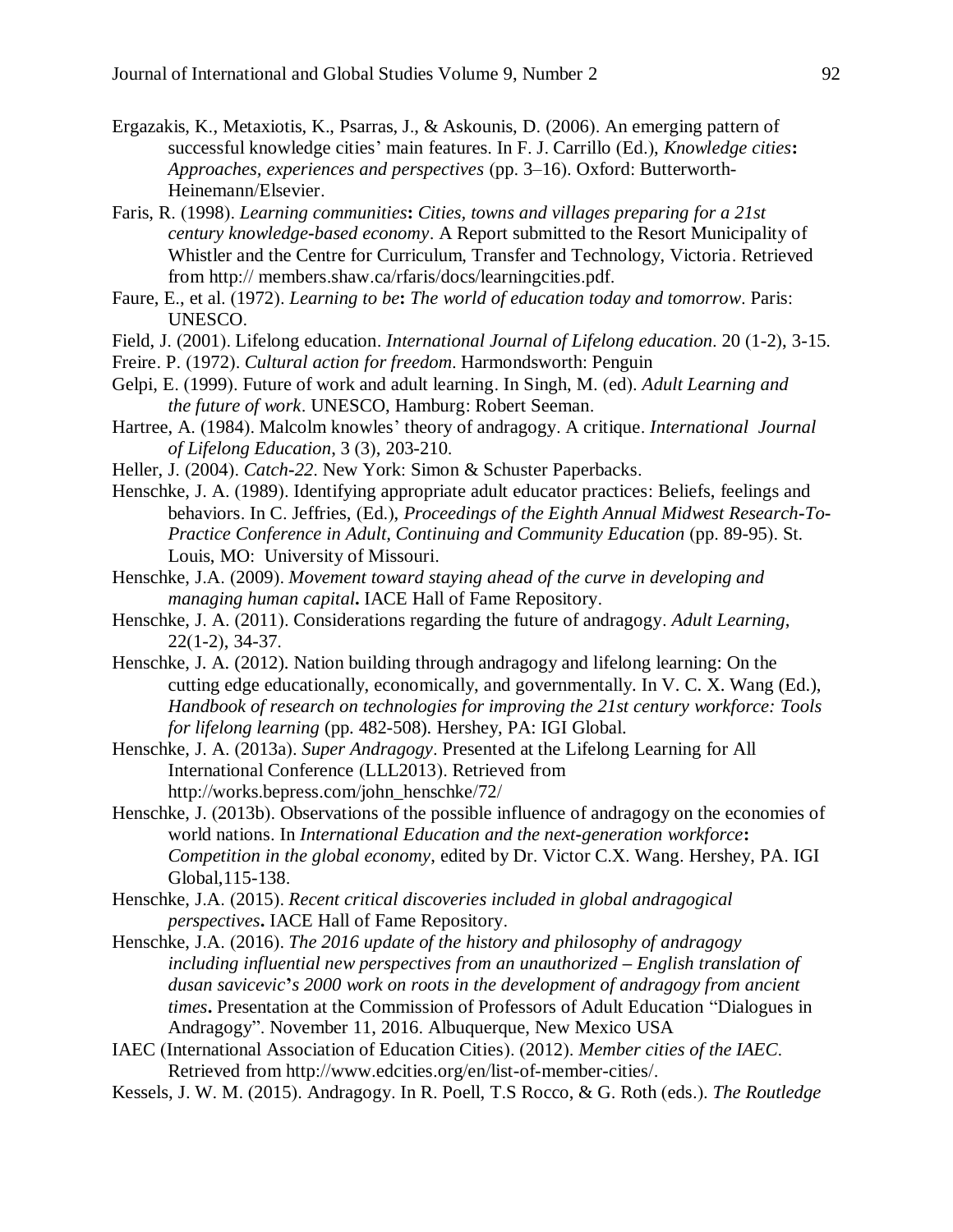- Ergazakis, K., Metaxiotis, K., Psarras, J., & Askounis, D. (2006). An emerging pattern of successful knowledge cities' main features. In F. J. Carrillo (Ed.), *Knowledge cities***:**  *Approaches, experiences and perspectives* (pp. 3–16). Oxford: Butterworth-Heinemann/Elsevier.
- Faris, R. (1998). *Learning communities***:** *Cities, towns and villages preparing for a 21st century knowledge***-***based economy*. A Report submitted to the Resort Municipality of Whistler and the Centre for Curriculum, Transfer and Technology, Victoria. Retrieved from http:// members.shaw.ca/rfaris/docs/learningcities.pdf.
- Faure, E., et al. (1972). *Learning to be***:** *The world of education today and tomorrow*. Paris: UNESCO.
- Field, J. (2001). Lifelong education. *International Journal of Lifelong education*. 20 (1-2), 3-15.
- Freire. P. (1972). *Cultural action for freedom*. Harmondsworth: Penguin
- Gelpi, E. (1999). Future of work and adult learning. In Singh, M. (ed). *Adult Learning and the future of work*. UNESCO, Hamburg: Robert Seeman.
- Hartree, A. (1984). Malcolm knowles' theory of andragogy. A critique. *International Journal of Lifelong Education*, 3 (3), 203-210.
- Heller, J. (2004). *Catch***-***22*. New York: Simon & Schuster Paperbacks.
- Henschke, J. A. (1989). Identifying appropriate adult educator practices: Beliefs, feelings and behaviors. In C. Jeffries, (Ed.), *Proceedings of the Eighth Annual Midwest Research***-***To***-***Practice Conference in Adult, Continuing and Community Education* (pp. 89-95). St. Louis, MO: University of Missouri.
- Henschke, J.A. (2009). *Movement toward staying ahead of the curve in developing and managing human capital***.** IACE Hall of Fame Repository.
- Henschke, J. A. (2011). Considerations regarding the future of andragogy. *Adult Learning*, 22(1-2), 34-37.
- Henschke, J. A. (2012). Nation building through andragogy and lifelong learning: On the cutting edge educationally, economically, and governmentally. In V. C. X. Wang (Ed.), *Handbook of research on technologies for improving the 21st century workforce: Tools for lifelong learning* (pp. 482-508). Hershey, PA: IGI Global.
- Henschke, J. A. (2013a). *Super Andragogy*. Presented at the Lifelong Learning for All International Conference (LLL2013). Retrieved from http://works.bepress.com/john\_henschke/72/
- Henschke, J. (2013b). Observations of the possible influence of andragogy on the economies of world nations. In *International Education and the next***-***generation workforce***:**  *Competition in the global economy*, edited by Dr. Victor C.X. Wang. Hershey, PA. IGI Global,115-138.
- Henschke, J.A. (2015). *Recent critical discoveries included in global andragogical perspectives***.** IACE Hall of Fame Repository.
- Henschke, J.A. (2016). *The 2016 update of the history and philosophy of andragogy including influential new perspectives from an unauthorized* **–** *English translation of dusan savicevic***'***s 2000 work on roots in the development of andragogy from ancient times***.** Presentation at the Commission of Professors of Adult Education "Dialogues in Andragogy". November 11, 2016. Albuquerque, New Mexico USA
- IAEC (International Association of Education Cities). (2012). *Member cities of the IAEC*. Retrieved from http://www.edcities.org/en/list-of-member-cities/.
- Kessels, J. W. M. (2015). Andragogy. In R. Poell, T.S Rocco, & G. Roth (eds.). *The Routledge*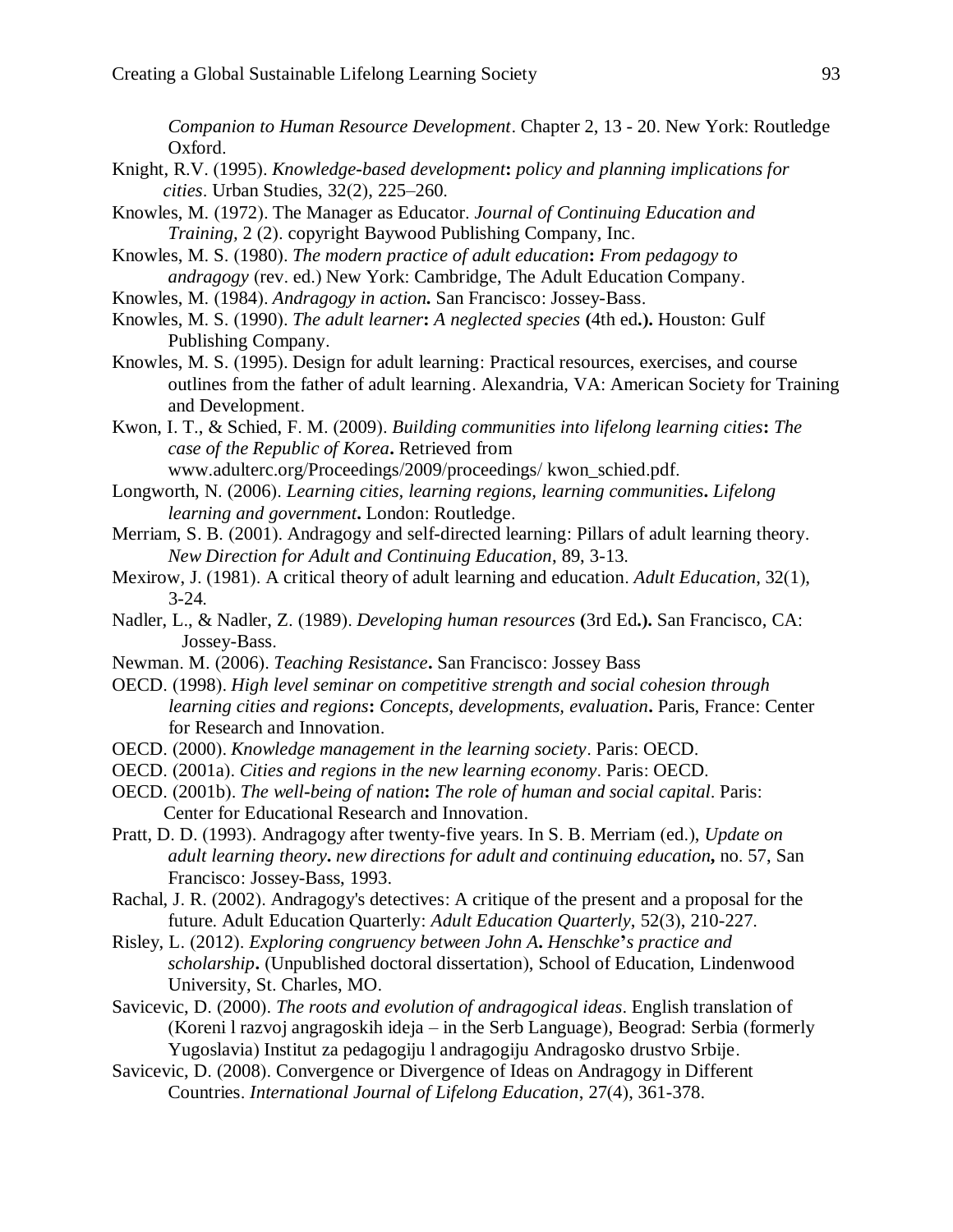*Companion to Human Resource Development*. Chapter 2, 13 - 20. New York: Routledge Oxford.

- Knight, R.V. (1995). *Knowledge***-***based development***:** *policy and planning implications for*  *cities*. Urban Studies, 32(2), 225–260.
- Knowles, M. (1972). The Manager as Educator. *Journal of Continuing Education and Training,* 2 (2). copyright Baywood Publishing Company, Inc.
- Knowles, M. S. (1980). *The modern practice of adult education***:** *From pedagogy to andragogy* (rev. ed.) New York: Cambridge, The Adult Education Company.
- Knowles, M. (1984). *Andragogy in action***.** San Francisco: Jossey-Bass.
- Knowles, M. S. (1990). *The adult learner***:** *A neglected species* **(**4th ed**.).** Houston: Gulf Publishing Company.
- Knowles, M. S. (1995). Design for adult learning: Practical resources, exercises, and course outlines from the father of adult learning. Alexandria, VA: American Society for Training and Development.
- Kwon, I. T., & Schied, F. M. (2009). *Building communities into lifelong learning cities***:** *The case of the Republic of Korea***.** Retrieved from www.adulterc.org/Proceedings/2009/proceedings/ kwon\_schied.pdf.
- Longworth, N. (2006). *Learning cities, learning regions, learning communities***.** *Lifelong* 
	- *learning and government***.** London: Routledge.
- Merriam, S. B. (2001). Andragogy and self-directed learning: Pillars of adult learning theory. *New Direction for Adult and Continuing Education*, 89, 3-13.
- Mexirow, J. (1981). A critical theory of adult learning and education. *Adult Education*, 32(1), 3-24.
- Nadler, L., & Nadler, Z. (1989). *Developing human resources* **(**3rd Ed**.).** San Francisco, CA: Jossey-Bass.
- Newman. M. (2006). *Teaching Resistance***.** San Francisco: Jossey Bass
- OECD. (1998). *High level seminar on competitive strength and social cohesion through learning cities and regions***:** *Concepts, developments, evaluation***.** Paris, France: Center for Research and Innovation.
- OECD. (2000). *Knowledge management in the learning society*. Paris: OECD.
- OECD. (2001a). *Cities and regions in the new learning economy*. Paris: OECD.
- OECD. (2001b). *The well***-***being of nation***:** *The role of human and social capital*. Paris: Center for Educational Research and Innovation.
- Pratt, D. D. (1993). Andragogy after twenty-five years. In S. B. Merriam (ed.), *Update on adult learning theory***.** *new directions for adult and continuing education***,** no. 57, San Francisco: Jossey-Bass, 1993.
- Rachal, J. R. (2002). Andragogy's detectives: A critique of the present and a proposal for the future. Adult Education Quarterly: *Adult Education Quarterly*, 52(3), 210-227.
- Risley, L. (2012). *Exploring congruency between John A***.** *Henschke***'***s practice and scholarship***.** (Unpublished doctoral dissertation), School of Education, Lindenwood University, St. Charles, MO.
- Savicevic, D. (2000). *The roots and evolution of andragogical ideas*. English translation of (Koreni l razvoj angragoskih ideja – in the Serb Language), Beograd: Serbia (formerly Yugoslavia) Institut za pedagogiju l andragogiju Andragosko drustvo Srbije.
- Savicevic, D. (2008). Convergence or Divergence of Ideas on Andragogy in Different Countries. *International Journal of Lifelong Education*, 27(4), 361-378.